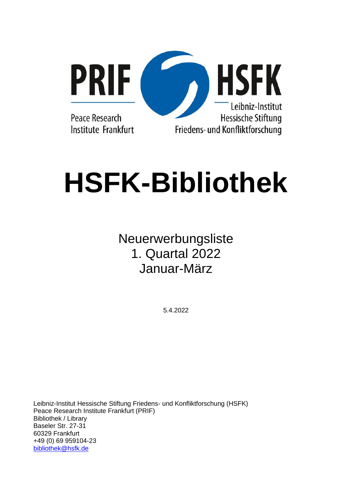

# **HSFK-Bibliothek**

# Neuerwerbungsliste 1. Quartal 2022 Januar-März

5.4.2022

Leibniz-Institut Hessische Stiftung Friedens- und Konfliktforschung (HSFK) Peace Research Institute Frankfurt (PRIF) Bibliothek / Library Baseler Str. 27-31 60329 Frankfurt +49 (0) 69 959104-23 [bibliothek@hsfk.de](mailto:bibliothek@hsfk.de)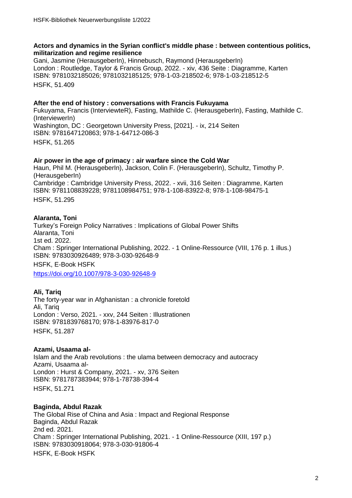# **Actors and dynamics in the Syrian conflict's middle phase : between contentious politics, militarization and regime resilience**

Gani, Jasmine (HerausgeberIn), Hinnebusch, Raymond (HerausgeberIn) London : Routledge, Taylor & Francis Group, 2022. - xiv, 436 Seite : Diagramme, Karten ISBN: 9781032185026; 9781032185125; 978-1-03-218502-6; 978-1-03-218512-5 HSFK, 51.409

# **After the end of history : conversations with Francis Fukuyama**

Fukuyama, Francis (InterviewteR), Fasting, Mathilde C. (HerausgeberIn), Fasting, Mathilde C. (InterviewerIn) Washington, DC : Georgetown University Press, [2021]. - ix, 214 Seiten ISBN: 9781647120863; 978-1-64712-086-3 HSFK, 51.265

# **Air power in the age of primacy : air warfare since the Cold War**

Haun, Phil M. (HerausgeberIn), Jackson, Colin F. (HerausgeberIn), Schultz, Timothy P. (HerausgeberIn) Cambridge : Cambridge University Press, 2022. - xvii, 316 Seiten : Diagramme, Karten ISBN: 9781108839228; 9781108984751; 978-1-108-83922-8; 978-1-108-98475-1 HSFK, 51.295

# **Alaranta, Toni**

Turkey's Foreign Policy Narratives : Implications of Global Power Shifts Alaranta, Toni 1st ed. 2022. Cham : Springer International Publishing, 2022. - 1 Online-Ressource (VIII, 176 p. 1 illus.) ISBN: 9783030926489; 978-3-030-92648-9 HSFK, E-Book HSFK

<https://doi.org/10.1007/978-3-030-92648-9>

# **Ali, Tariq**

The forty-year war in Afghanistan : a chronicle foretold Ali, Tariq London : Verso, 2021. - xxv, 244 Seiten : Illustrationen ISBN: 9781839768170; 978-1-83976-817-0 HSFK, 51.287

# **Azami, Usaama al-**

Islam and the Arab revolutions : the ulama between democracy and autocracy Azami, Usaama al-London : Hurst & Company, 2021. - xv, 376 Seiten ISBN: 9781787383944; 978-1-78738-394-4 HSFK, 51.271

# **Baginda, Abdul Razak**

The Global Rise of China and Asia : Impact and Regional Response Baginda, Abdul Razak 2nd ed. 2021. Cham : Springer International Publishing, 2021. - 1 Online-Ressource (XIII, 197 p.) ISBN: 9783030918064; 978-3-030-91806-4 HSFK, E-Book HSFK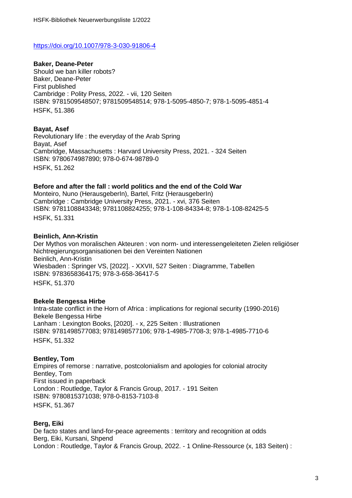#### <https://doi.org/10.1007/978-3-030-91806-4>

**Baker, Deane-Peter** Should we ban killer robots? Baker, Deane-Peter First published Cambridge : Polity Press, 2022. - vii, 120 Seiten ISBN: 9781509548507; 9781509548514; 978-1-5095-4850-7; 978-1-5095-4851-4 HSFK, 51.386

#### **Bayat, Asef**

Revolutionary life : the everyday of the Arab Spring Bayat, Asef Cambridge, Massachusetts : Harvard University Press, 2021. - 324 Seiten ISBN: 9780674987890; 978-0-674-98789-0 HSFK, 51.262

#### **Before and after the fall : world politics and the end of the Cold War**

Monteiro, Nuno (HerausgeberIn), Bartel, Fritz (HerausgeberIn) Cambridge : Cambridge University Press, 2021. - xvi, 376 Seiten ISBN: 9781108843348; 9781108824255; 978-1-108-84334-8; 978-1-108-82425-5 HSFK, 51.331

#### **Beinlich, Ann-Kristin**

Der Mythos von moralischen Akteuren : von norm- und interessengeleiteten Zielen religiöser Nichtregierungsorganisationen bei den Vereinten Nationen Beinlich, Ann-Kristin Wiesbaden : Springer VS, [2022]. - XXVII, 527 Seiten : Diagramme, Tabellen ISBN: 9783658364175; 978-3-658-36417-5 HSFK, 51.37[0](http://deposit.dnb.de/cgi-bin/dokserv?id=5b6accb6cf6a40d6bb1a15e1c849cd98&prov=M&dok_var=1&dok_ext=htm)

#### **Bekele Bengessa Hirbe**

Intra-state conflict in the Horn of Africa : implications for regional security (1990-2016) Bekele Bengessa Hirbe Lanham : Lexington Books, [2020]. - x, 225 Seiten : Illustrationen ISBN: 9781498577083; 9781498577106; 978-1-4985-7708-3; 978-1-4985-7710-6 HSFK, 51.332

#### **Bentley, Tom**

Empires of remorse : narrative, postcolonialism and apologies for colonial atrocity Bentley, Tom First issued in paperback London : Routledge, Taylor & Francis Group, 2017. - 191 Seiten ISBN: 9780815371038; 978-0-8153-7103-8 HSFK, 51.367

#### **Berg, Eiki**

De facto states and land-for-peace agreements : territory and recognition at odds Berg, Eiki, Kursani, Shpend London : Routledge, Taylor & Francis Group, 2022. - 1 Online-Ressource (x, 183 Seiten) :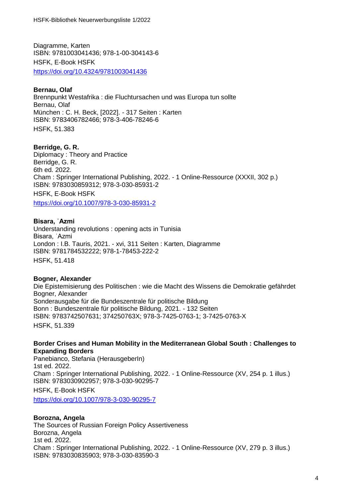Diagramme, Karten ISBN: 9781003041436; 978-1-00-304143-6 HSFK, E-Book HSFK <https://doi.org/10.4324/9781003041436>

# **Bernau, Olaf**

Brennpunkt Westafrika : die Fluchtursachen und was Europa tun sollte Bernau, Olaf München : C. H. Beck, [2022]. - 317 Seiten : Karten ISBN: 9783406782466; 978-3-406-78246-6 HSFK, 51.38[3](http://deposit.dnb.de/cgi-bin/dokserv?id=2fca12f9dc344368a1f63cb777e6121c&prov=M&dok_var=1&dok_ext=htm)

# **Berridge, G. R.**

Diplomacy : Theory and Practice Berridge, G. R. 6th ed. 2022. Cham : Springer International Publishing, 2022. - 1 Online-Ressource (XXXII, 302 p.) ISBN: 9783030859312; 978-3-030-85931-2 HSFK, E-Book HSFK <https://doi.org/10.1007/978-3-030-85931-2>

**Bisara, ʿAzmi**

Understanding revolutions : opening acts in Tunisia Bisara, ʿAzmi London : I.B. Tauris, 2021. - xvi, 311 Seiten : Karten, Diagramme ISBN: 9781784532222; 978-1-78453-222-2 HSFK, 51.418

# **Bogner, Alexander**

Die Epistemisierung des Politischen : wie die Macht des Wissens die Demokratie gefährdet Bogner, Alexander Sonderausgabe für die Bundeszentrale für politische Bildung Bonn : Bundeszentrale für politische Bildung, 2021. - 132 Seiten ISBN: 9783742507631; 374250763X; 978-3-7425-0763-1; 3-7425-0763-X HSFK, 51.339

#### **Border Crises and Human Mobility in the Mediterranean Global South : Challenges to Expanding Borders**

Panebianco, Stefania (HerausgeberIn) 1st ed. 2022. Cham : Springer International Publishing, 2022. - 1 Online-Ressource (XV, 254 p. 1 illus.) ISBN: 9783030902957; 978-3-030-90295-7 HSFK, E-Book HSFK <https://doi.org/10.1007/978-3-030-90295-7>

# **Borozna, Angela**

The Sources of Russian Foreign Policy Assertiveness Borozna, Angela 1st ed. 2022. Cham : Springer International Publishing, 2022. - 1 Online-Ressource (XV, 279 p. 3 illus.) ISBN: 9783030835903; 978-3-030-83590-3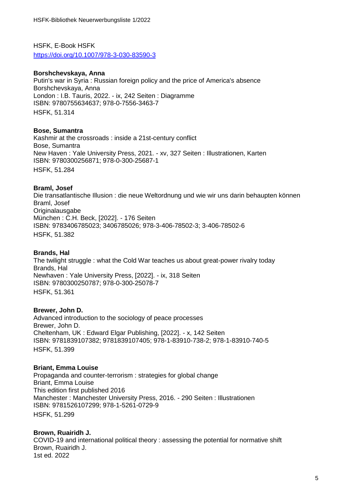HSFK, E-Book HSFK <https://doi.org/10.1007/978-3-030-83590-3>

# **Borshchevskaya, Anna**

Putin's war in Syria : Russian foreign policy and the price of America's absence Borshchevskaya, Anna London : I.B. Tauris, 2022. - ix, 242 Seiten : Diagramme ISBN: 9780755634637; 978-0-7556-3463-7 HSFK, 51.314

# **Bose, Sumantra**

Kashmir at the crossroads : inside a 21st-century conflict Bose, Sumantra New Haven : Yale University Press, 2021. - xv, 327 Seiten : Illustrationen, Karten ISBN: 9780300256871; 978-0-300-25687-1 HSFK, 51.284

# **Braml, Josef**

Die transatlantische Illusion : die neue Weltordnung und wie wir uns darin behaupten können Braml, Josef **Originalausgabe** München : C.H. Beck, [2022]. - 176 Seiten ISBN: 9783406785023; 3406785026; 978-3-406-78502-3; 3-406-78502-6 HSFK, 51.38[2](http://deposit.dnb.de/cgi-bin/dokserv?id=1919109b673c41718c908290ac3118c1&prov=M&dok_var=1&dok_ext=htm)

#### **Brands, Hal**

The twilight struggle : what the Cold War teaches us about great-power rivalry today Brands, Hal Newhaven : Yale University Press, [2022]. - ix, 318 Seiten ISBN: 9780300250787; 978-0-300-25078-7 HSFK, 51.361

#### **Brewer, John D.**

Advanced introduction to the sociology of peace processes Brewer, John D. Cheltenham, UK : Edward Elgar Publishing, [2022]. - x, 142 Seiten ISBN: 9781839107382; 9781839107405; 978-1-83910-738-2; 978-1-83910-740-5 HSFK, 51.399

#### **Briant, Emma Louise**

Propaganda and counter-terrorism : strategies for global change Briant, Emma Louise This edition first published 2016 Manchester : Manchester University Press, 2016. - 290 Seiten : Illustrationen ISBN: 9781526107299; 978-1-5261-0729-9 HSFK, 51.299

# **Brown, Ruairidh J.**

COVID-19 and international political theory : assessing the potential for normative shift Brown, Ruairidh J. 1st ed. 2022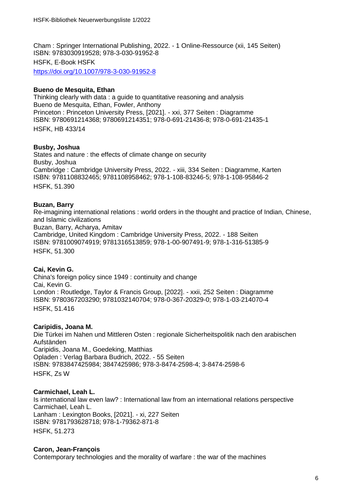Cham : Springer International Publishing, 2022. - 1 Online-Ressource (xii, 145 Seiten) ISBN: 9783030919528; 978-3-030-91952-8 HSFK, E-Book HSFK <https://doi.org/10.1007/978-3-030-91952-8>

# **Bueno de Mesquita, Ethan**

Thinking clearly with data : a guide to quantitative reasoning and analysis Bueno de Mesquita, Ethan, Fowler, Anthony Princeton : Princeton University Press, [2021]. - xxi, 377 Seiten : Diagramme ISBN: 9780691214368; 9780691214351; 978-0-691-21436-8; 978-0-691-21435-1 HSFK, HB 433/14

# **Busby, Joshua**

States and nature : the effects of climate change on security Busby, Joshua Cambridge : Cambridge University Press, 2022. - xiii, 334 Seiten : Diagramme, Karten ISBN: 9781108832465; 9781108958462; 978-1-108-83246-5; 978-1-108-95846-2 HSFK, 51.390

# **Buzan, Barry**

Re-imagining international relations : world orders in the thought and practice of Indian, Chinese, and Islamic civilizations Buzan, Barry, Acharya, Amitav Cambridge, United Kingdom : Cambridge University Press, 2022. - 188 Seiten ISBN: 9781009074919; 9781316513859; 978-1-00-907491-9; 978-1-316-51385-9 HSFK, 51.300

# **Cai, Kevin G.**

China's foreign policy since 1949 : continuity and change Cai, Kevin G. London : Routledge, Taylor & Francis Group, [2022]. - xxii, 252 Seiten : Diagramme ISBN: 9780367203290; 9781032140704; 978-0-367-20329-0; 978-1-03-214070-4 HSFK, 51.416

# **Caripidis, Joana M.**

Die Türkei im Nahen und Mittleren Osten : regionale Sicherheitspolitik nach den arabischen Aufständen Caripidis, Joana M., Goedeking, Matthias Opladen : Verlag Barbara Budrich, 2022. - 55 Seiten ISBN: 9783847425984; 3847425986; 978-3-8474-2598-4; 3-8474-2598-6 HSFK, Zs W

# **Carmichael, Leah L.**

Is international law even law? : International law from an international relations perspective Carmichael, Leah L. Lanham : Lexington Books, [2021]. - xi, 227 Seiten ISBN: 9781793628718; 978-1-79362-871-8 HSFK, 51.273

# **Caron, Jean-François**

Contemporary technologies and the morality of warfare : the war of the machines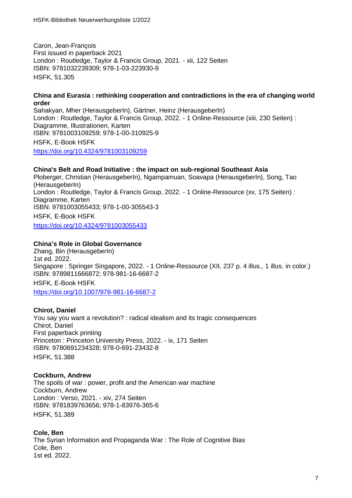Caron, Jean-François First issued in paperback 2021 London : Routledge, Taylor & Francis Group, 2021. - xii, 122 Seiten ISBN: 9781032239309; 978-1-03-223930-9 HSFK, 51.305

#### **China and Eurasia : rethinking cooperation and contradictions in the era of changing world order**

Sahakyan, Mher (HerausgeberIn), Gärtner, Heinz (HerausgeberIn) London : Routledge, Taylor & Francis Group, 2022. - 1 Online-Ressource (xiii, 230 Seiten) : Diagramme, Illustrationen, Karten ISBN: 9781003109259; 978-1-00-310925-9 HSFK, E-Book HSFK <https://doi.org/10.4324/9781003109259>

# **China's Belt and Road Initiative : the impact on sub-regional Southeast Asia**

Ploberger, Christian (HerausgeberIn), Ngampamuan, Soavapa (HerausgeberIn), Song, Tao (HerausgeberIn) London : Routledge, Taylor & Francis Group, 2022. - 1 Online-Ressource (xv, 175 Seiten) : Diagramme, Karten ISBN: 9781003055433; 978-1-00-305543-3 HSFK, E-Book HSFK <https://doi.org/10.4324/9781003055433>

# **China's Role in Global Governance**

Zhang, Bin (HerausgeberIn) 1st ed. 2022. Singapore : Springer Singapore, 2022. - 1 Online-Ressource (XII, 237 p. 4 illus., 1 illus. in color.) ISBN: 9789811666872; 978-981-16-6687-2 HSFK, E-Book HSFK <https://doi.org/10.1007/978-981-16-6687-2>

# **Chirot, Daniel**

You say you want a revolution? : radical idealism and its tragic consequences Chirot, Daniel First paperback printing Princeton : Princeton University Press, 2022. - ix, 171 Seiten ISBN: 9780691234328; 978-0-691-23432-8 HSFK, 51.388

# **Cockburn, Andrew**

The spoils of war : power, profit and the American war machine Cockburn, Andrew London : Verso, 2021. - xiv, 274 Seiten ISBN: 9781839763656; 978-1-83976-365-6 HSFK, 51.389

# **Cole, Ben** The Syrian Information and Propaganda War : The Role of Cognitive Bias Cole, Ben 1st ed. 2022.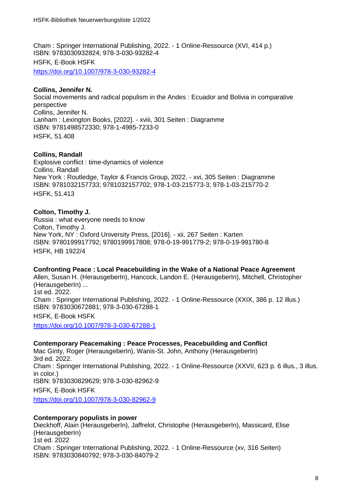Cham : Springer International Publishing, 2022. - 1 Online-Ressource (XVI, 414 p.) ISBN: 9783030932824; 978-3-030-93282-4 HSFK, E-Book HSFK <https://doi.org/10.1007/978-3-030-93282-4>

# **Collins, Jennifer N.**

Social movements and radical populism in the Andes : Ecuador and Bolivia in comparative perspective Collins, Jennifer N. Lanham : Lexington Books, [2022]. - xviii, 301 Seiten : Diagramme ISBN: 9781498572330; 978-1-4985-7233-0 HSFK, 51.408

# **Collins, Randall**

Explosive conflict : time-dynamics of violence Collins, Randall New York : Routledge, Taylor & Francis Group, 2022. - xvi, 305 Seiten : Diagramme ISBN: 9781032157733; 9781032157702; 978-1-03-215773-3; 978-1-03-215770-2 HSFK, 51.413

# **Colton, Timothy J.**

Russia : what everyone needs to know Colton, Timothy J. New York, NY : Oxford University Press, [2016]. - xii, 267 Seiten : Karten ISBN: 9780199917792; 9780199917808; 978-0-19-991779-2; 978-0-19-991780-8 HSFK, HB 1922/4

#### **Confronting Peace : Local Peacebuilding in the Wake of a National Peace Agreement**

Allen, Susan H. (HerausgeberIn), Hancock, Landon E. (HerausgeberIn), Mitchell, Christopher (HerausgeberIn) ... 1st ed. 2022. Cham : Springer International Publishing, 2022. - 1 Online-Ressource (XXIX, 386 p. 12 illus.) ISBN: 9783030672881; 978-3-030-67288-1 HSFK, E-Book HSFK

<https://doi.org/10.1007/978-3-030-67288-1>

# **Contemporary Peacemaking : Peace Processes, Peacebuilding and Conflict**

Mac Ginty, Roger (HerausgeberIn), Wanis-St. John, Anthony (HerausgeberIn) 3rd ed. 2022. Cham : Springer International Publishing, 2022. - 1 Online-Ressource (XXVII, 623 p. 6 illus., 3 illus. in color.) ISBN: 9783030829629; 978-3-030-82962-9 HSFK, E-Book HSFK <https://doi.org/10.1007/978-3-030-82962-9>

# **Contemporary populists in power**

Dieckhoff, Alain (HerausgeberIn), Jaffrelot, Christophe (HerausgeberIn), Massicard, Elise (HerausgeberIn) 1st ed. 2022 Cham : Springer International Publishing, 2022. - 1 Online-Ressource (xv, 316 Seiten) ISBN: 9783030840792; 978-3-030-84079-2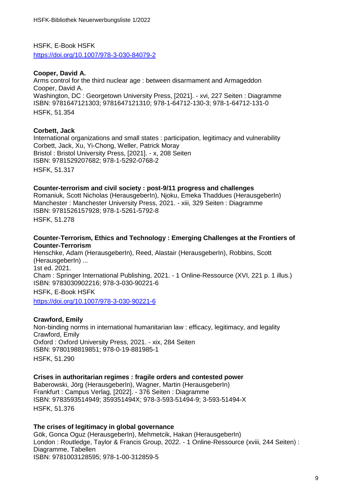HSFK, E-Book HSFK <https://doi.org/10.1007/978-3-030-84079-2>

# **Cooper, David A.**

Arms control for the third nuclear age : between disarmament and Armageddon Cooper, David A. Washington, DC : Georgetown University Press, [2021]. - xvi, 227 Seiten : Diagramme ISBN: 9781647121303; 9781647121310; 978-1-64712-130-3; 978-1-64712-131-0 HSFK, 51.354

# **Corbett, Jack**

International organizations and small states : participation, legitimacy and vulnerability Corbett, Jack, Xu, Yi-Chong, Weller, Patrick Moray Bristol : Bristol University Press, [2021]. - x, 208 Seiten ISBN: 9781529207682; 978-1-5292-0768-2 HSFK, 51.317

#### **Counter-terrorism and civil society : post-9/11 progress and challenges**

Romaniuk, Scott Nicholas (HerausgeberIn), Njoku, Emeka Thaddues (HerausgeberIn) Manchester : Manchester University Press, 2021. - xiii, 329 Seiten : Diagramme ISBN: 9781526157928; 978-1-5261-5792-8 HSFK, 51.278

# **Counter-Terrorism, Ethics and Technology : Emerging Challenges at the Frontiers of Counter-Terrorism**

Henschke, Adam (HerausgeberIn), Reed, Alastair (HerausgeberIn), Robbins, Scott (HerausgeberIn) ... 1st ed. 2021. Cham : Springer International Publishing, 2021. - 1 Online-Ressource (XVI, 221 p. 1 illus.) ISBN: 9783030902216; 978-3-030-90221-6 HSFK, E-Book HSFK

<https://doi.org/10.1007/978-3-030-90221-6>

# **Crawford, Emily**

Non-binding norms in international humanitarian law : efficacy, legitimacy, and legality Crawford, Emily Oxford : Oxford University Press, 2021. - xix, 284 Seiten ISBN: 9780198819851; 978-0-19-881985-1 HSFK, 51.290

# **Crises in authoritarian regimes : fragile orders and contested power**

Baberowski, Jörg (HerausgeberIn), Wagner, Martin (HerausgeberIn) Frankfurt : Campus Verlag, [2022]. - 376 Seiten : Diagramme ISBN: 9783593514949; 359351494X; 978-3-593-51494-9; 3-593-51494-X HSFK, 51.376

**The crises of legitimacy in global governance** Gök, Gonca Oguz (HerausgeberIn), Mehmetcik, Hakan (HerausgeberIn) London : Routledge, Taylor & Francis Group, 2022. - 1 Online-Ressource (xviii, 244 Seiten) : Diagramme, Tabellen ISBN: 9781003128595; 978-1-00-312859-5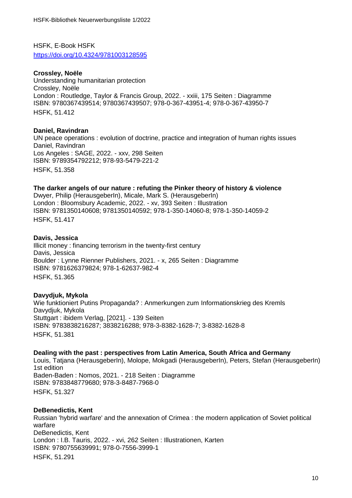HSFK, E-Book HSFK <https://doi.org/10.4324/9781003128595>

# **Crossley, Noële**

Understanding humanitarian protection Crossley, Noële London : Routledge, Taylor & Francis Group, 2022. - xxiii, 175 Seiten : Diagramme ISBN: 9780367439514; 9780367439507; 978-0-367-43951-4; 978-0-367-43950-7 HSFK, 51.412

# **Daniel, Ravindran**

UN peace operations : evolution of doctrine, practice and integration of human rights issues Daniel, Ravindran Los Angeles : SAGE, 2022. - xxv, 298 Seiten ISBN: 9789354792212; 978-93-5479-221-2 HSFK, 51.358

# **The darker angels of our nature : refuting the Pinker theory of history & violence**

Dwyer, Philip (HerausgeberIn), Micale, Mark S. (HerausgeberIn) London : Bloomsbury Academic, 2022. - xv, 393 Seiten : Illustration ISBN: 9781350140608; 9781350140592; 978-1-350-14060-8; 978-1-350-14059-2 HSFK, 51.41[7](https://www.gbv.de/dms/mpib-toc/1738324176.pdf)

#### **Davis, Jessica**

Illicit money : financing terrorism in the twenty-first century Davis, Jessica Boulder : Lynne Rienner Publishers, 2021. - x, 265 Seiten : Diagramme ISBN: 9781626379824; 978-1-62637-982-4 HSFK, 51.365

# **Davydjuk, Mykola**

Wie funktioniert Putins Propaganda? : Anmerkungen zum Informationskrieg des Kremls Davydjuk, Mykola Stuttgart : ibidem Verlag, [2021]. - 139 Seiten ISBN: 9783838216287; 3838216288; 978-3-8382-1628-7; 3-8382-1628-8 HSFK, 51.38[1](http://deposit.dnb.de/cgi-bin/dokserv?id=55701b18c44742bcae0e13e6f15ec5ef&prov=M&dok_var=1&dok_ext=htm)

# **Dealing with the past : perspectives from Latin America, South Africa and Germany**

Louis, Tatjana (HerausgeberIn), Molope, Mokgadi (HerausgeberIn), Peters, Stefan (HerausgeberIn) 1st edition Baden-Baden : Nomos, 2021. - 218 Seiten : Diagramme ISBN: 9783848779680; 978-3-8487-7968-0 HSFK, 51.32[7](http://deposit.dnb.de/cgi-bin/dokserv?id=2929bec2cd5745cfb1baa69533a1712c&prov=M&dok_var=1&dok_ext=htm)

# **DeBenedictis, Kent**

Russian 'hybrid warfare' and the annexation of Crimea : the modern application of Soviet political warfare DeBenedictis, Kent London : I.B. Tauris, 2022. - xvi, 262 Seiten : Illustrationen, Karten ISBN: 9780755639991; 978-0-7556-3999-1 HSFK, 51.291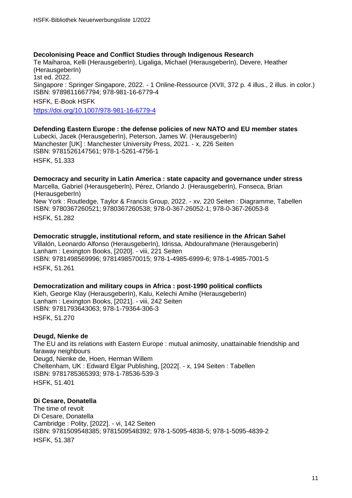#### **Decolonising Peace and Conflict Studies through Indigenous Research**

Te Maiharoa, Kelli (HerausgeberIn), Ligaliga, Michael (HerausgeberIn), Devere, Heather (HerausgeberIn) 1st ed. 2022. Singapore : Springer Singapore, 2022. - 1 Online-Ressource (XVII, 372 p. 4 illus., 2 illus. in color.) ISBN: 9789811667794; 978-981-16-6779-4 HSFK, E-Book HSFK <https://doi.org/10.1007/978-981-16-6779-4>

**Defending Eastern Europe : the defense policies of new NATO and EU member states** Lubecki, Jacek (HerausgeberIn), Peterson, James W. (HerausgeberIn)

Manchester [UK] : Manchester University Press, 2021. - x, 226 Seiten ISBN: 9781526147561; 978-1-5261-4756-1 HSFK, 51.333

#### **Democracy and security in Latin America : state capacity and governance under stress**

Marcella, Gabriel (HerausgeberIn), Pérez, Orlando J. (HerausgeberIn), Fonseca, Brian (HerausgeberIn) New York : Routledge, Taylor & Francis Group, 2022. - xv, 220 Seiten : Diagramme, Tabellen ISBN: 9780367260521; 9780367260538; 978-0-367-26052-1; 978-0-367-26053-8 HSFK, 51.282

#### **Democratic struggle, institutional reform, and state resilience in the African Sahel**

Villalón, Leonardo Alfonso (HerausgeberIn), Idrissa, Abdourahmane (HerausgeberIn) Lanham : Lexington Books, [2020]. - viii, 221 Seiten ISBN: 9781498569996; 9781498570015; 978-1-4985-6999-6; 978-1-4985-7001-5 HSFK, 51.261

#### **Democratization and military coups in Africa : post-1990 political conflicts**

Kieh, George Klay (HerausgeberIn), Kalu, Kelechi Amihe (HerausgeberIn) Lanham : Lexington Books, [2021]. - viii, 242 Seiten ISBN: 9781793643063; 978-1-79364-306-3 HSFK, 51.270

# **Deugd, Nienke de**

The EU and its relations with Eastern Europe : mutual animosity, unattainable friendship and faraway neighbours Deugd, Nienke de, Hoen, Herman Willem Cheltenham, UK : Edward Elgar Publishing, [2022[. - x, 194 Seiten : Tabellen ISBN: 9781785365393; 978-1-78536-539-3 HSFK, 51.401

# **Di Cesare, Donatella**

The time of revolt Di Cesare, Donatella Cambridge : Polity, [2022]. - vi, 142 Seiten ISBN: 9781509548385; 9781509548392; 978-1-5095-4838-5; 978-1-5095-4839-2 HSFK, 51.387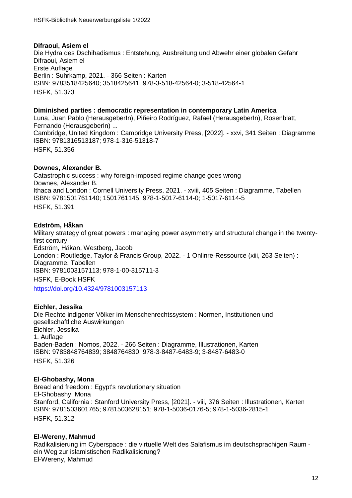#### **Difraoui, Asiem el** Die Hydra des Dschihadismus : Entstehung, Ausbreitung und Abwehr einer globalen Gefahr Difraoui, Asiem el Erste Auflage Berlin : Suhrkamp, 2021. - 366 Seiten : Karten ISBN: 9783518425640; 3518425641; 978-3-518-42564-0; 3-518-42564-1 HSFK, 51.37[3](http://deposit.d-nb.de/cgi-bin/dokserv?id=b3e7c807995f4eb9be6e40aab2637618&prov=M&dok_var=1&dok_ext=htm)

# **Diminished parties : democratic representation in contemporary Latin America**

Luna, Juan Pablo (HerausgeberIn), Piñeiro Rodríguez, Rafael (HerausgeberIn), Rosenblatt, Fernando (HerausgeberIn) ... Cambridge, United Kingdom : Cambridge University Press, [2022]. - xxvi, 341 Seiten : Diagramme ISBN: 9781316513187; 978-1-316-51318-7 HSFK, 51.356

# **Downes, Alexander B.**

Catastrophic success : why foreign-imposed regime change goes wrong Downes, Alexander B. Ithaca and London : Cornell University Press, 2021. - xviii, 405 Seiten : Diagramme, Tabellen ISBN: 9781501761140; 1501761145; 978-1-5017-6114-0; 1-5017-6114-5 HSFK, 51.391

# **Edström, Håkan**

Military strategy of great powers : managing power asymmetry and structural change in the twentyfirst century Edström, Håkan, Westberg, Jacob London : Routledge, Taylor & Francis Group, 2022. - 1 Onlinre-Ressource (xiii, 263 Seiten) : Diagramme, Tabellen ISBN: 9781003157113; 978-1-00-315711-3 HSFK, E-Book HSFK <https://doi.org/10.4324/9781003157113>

# **Eichler, Jessika**

Die Rechte indigener Völker im Menschenrechtssystem : Normen, Institutionen und gesellschaftliche Auswirkungen Eichler, Jessika 1. Auflage Baden-Baden : Nomos, 2022. - 266 Seiten : Diagramme, Illustrationen, Karten ISBN: 9783848764839; 3848764830; 978-3-8487-6483-9; 3-8487-6483-0 HSFK, 51.32[6](http://deposit.dnb.de/cgi-bin/dokserv?id=08e8e255cafd448e9e92e0081957b4c8&prov=M&dok_var=1&dok_ext=htm)

# **El-Ghobashy, Mona**

Bread and freedom : Egypt's revolutionary situation El-Ghobashy, Mona Stanford, California : Stanford University Press, [2021]. - viii, 376 Seiten : Illustrationen, Karten ISBN: 9781503601765; 9781503628151; 978-1-5036-0176-5; 978-1-5036-2815-1 HSFK, 51.31[2](https://www.gbv.de/dms/bowker/toc/9781503601765.pdf)

# **El-Wereny, Mahmud**

Radikalisierung im Cyberspace : die virtuelle Welt des Salafismus im deutschsprachigen Raum ein Weg zur islamistischen Radikalisierung? El-Wereny, Mahmud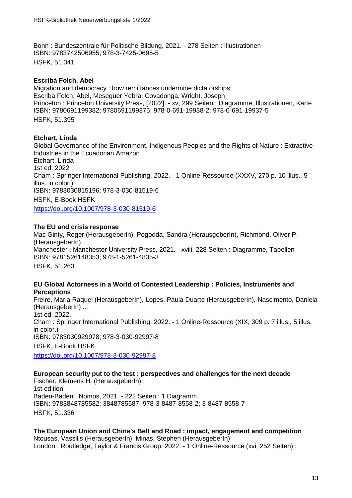Bonn : Bundeszentrale für Politische Bildung, 2021. - 278 Seiten : Illustrationen ISBN: 9783742506955; 978-3-7425-0695-5 HSFK, 51.341

# **Escribà Folch, Abel**

Migration and democracy : how remittances undermine dictatorships Escribà Folch, Abel, Meseguer Yebra, Covadonga, Wright, Joseph Princeton : Princeton University Press, [2022]. - xv, 299 Seiten : Diagramme, Illustrationen, Karte ISBN: 9780691199382; 9780691199375; 978-0-691-19938-2; 978-0-691-19937-5 HSFK, 51.395

# **Etchart, Linda**

Global Governance of the Environment, Indigenous Peoples and the Rights of Nature : Extractive Industries in the Ecuadorian Amazon Etchart, Linda 1st ed. 2022 Cham : Springer International Publishing, 2022. - 1 Online-Ressource (XXXV, 270 p. 10 illus., 5 illus. in color.) ISBN: 9783030815196; 978-3-030-81519-6 HSFK, E-Book HSFK <https://doi.org/10.1007/978-3-030-81519-6>

# **The EU and crisis response**

Mac Ginty, Roger (HerausgeberIn), Pogodda, Sandra (HerausgeberIn), Richmond, Oliver P. (HerausgeberIn) Manchester : Manchester University Press, 2021. - xviii, 228 Seiten : Diagramme, Tabellen ISBN: 9781526148353; 978-1-5261-4835-3

HSFK, 51.263

# **EU Global Actorness in a World of Contested Leadership : Policies, Instruments and Perceptions**

Freire, Maria Raquel (HerausgeberIn), Lopes, Paula Duarte (HerausgeberIn), Nascimento, Daniela (HerausgeberIn) ... 1st ed. 2022. Cham : Springer International Publishing, 2022. - 1 Online-Ressource (XIX, 309 p. 7 illus., 5 illus. in color.) ISBN: 9783030929978; 978-3-030-92997-8 HSFK, E-Book HSFK <https://doi.org/10.1007/978-3-030-92997-8>

**European security put to the test : perspectives and challenges for the next decade** Fischer, Klemens H. (HerausgeberIn) 1st edition Baden-Baden : Nomos, 2021. - 222 Seiten : 1 Diagramm ISBN: 9783848785582; 3848785587; 978-3-8487-8558-2; 3-8487-8558-7 HSFK, 51.33[6](http://deposit.dnb.de/cgi-bin/dokserv?id=5fcbbe4a50b8419da921d4617dbb6eed&prov=M&dok_var=1&dok_ext=htm)

#### **The European Union and China's Belt and Road : impact, engagement and competition** Ntousas, Vassilis (HerausgeberIn), Minas, Stephen (HerausgeberIn) London : Routledge, Taylor & Francis Group, 2022. - 1 Online-Ressource (xvi, 252 Seiten) :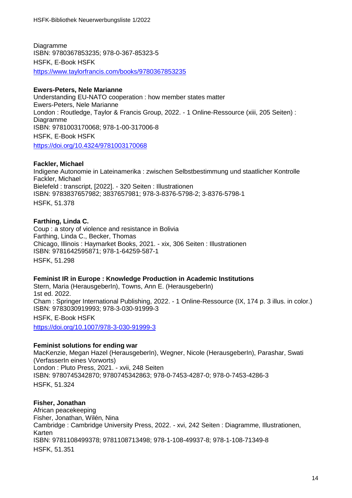Diagramme ISBN: 9780367853235; 978-0-367-85323-5 HSFK, E-Book HSFK <https://www.taylorfrancis.com/books/9780367853235>

# **Ewers-Peters, Nele Marianne**

Understanding EU-NATO cooperation : how member states matter Ewers-Peters, Nele Marianne London : Routledge, Taylor & Francis Group, 2022. - 1 Online-Ressource (xiii, 205 Seiten) : Diagramme ISBN: 9781003170068; 978-1-00-317006-8 HSFK, E-Book HSFK <https://doi.org/10.4324/9781003170068>

# **Fackler, Michael**

Indigene Autonomie in Lateinamerika : zwischen Selbstbestimmung und staatlicher Kontrolle Fackler, Michael Bielefeld : transcript, [2022]. - 320 Seiten : Illustrationen ISBN: 9783837657982; 3837657981; 978-3-8376-5798-2; 3-8376-5798-1 HSFK, 51.37[8](http://www.transcript-verlag.de/978-3-8376-5798-2)

# **Farthing, Linda C.**

Coup : a story of violence and resistance in Bolivia Farthing, Linda C., Becker, Thomas Chicago, Illinois : Haymarket Books, 2021. - xix, 306 Seiten : Illustrationen ISBN: 9781642595871; 978-1-64259-587-1 HSFK, 51.298

# **Feminist IR in Europe : Knowledge Production in Academic Institutions**

Stern, Maria (HerausgeberIn), Towns, Ann E. (HerausgeberIn) 1st ed. 2022. Cham : Springer International Publishing, 2022. - 1 Online-Ressource (IX, 174 p. 3 illus. in color.) ISBN: 9783030919993; 978-3-030-91999-3 HSFK, E-Book HSFK <https://doi.org/10.1007/978-3-030-91999-3>

# **Feminist solutions for ending war**

MacKenzie, Megan Hazel (HerausgeberIn), Wegner, Nicole (HerausgeberIn), Parashar, Swati (VerfasserIn eines Vorworts) London : Pluto Press, 2021. - xvii, 248 Seiten ISBN: 9780745342870; 9780745342863; 978-0-7453-4287-0; 978-0-7453-4286-3 HSFK, 51.324

# **Fisher, Jonathan**

African peacekeeping Fisher, Jonathan, Wilén, Nina Cambridge : Cambridge University Press, 2022. - xvi, 242 Seiten : Diagramme, Illustrationen, Karten ISBN: 9781108499378; 9781108713498; 978-1-108-49937-8; 978-1-108-71349-8 HSFK, 51.351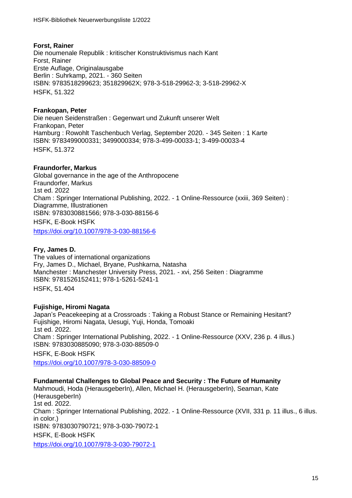# **Forst, Rainer**

Die noumenale Republik : kritischer Konstruktivismus nach Kant Forst, Rainer Erste Auflage, Originalausgabe Berlin : Suhrkamp, 2021. - 360 Seiten ISBN: 9783518299623; 351829962X; 978-3-518-29962-3; 3-518-29962-X HSFK, 51.322

# **Frankopan, Peter**

Die neuen Seidenstraßen : Gegenwart und Zukunft unserer Welt Frankopan, Peter Hamburg : Rowohlt Taschenbuch Verlag, September 2020. - 345 Seiten : 1 Karte ISBN: 9783499000331; 3499000334; 978-3-499-00033-1; 3-499-00033-4 HSFK, 51.37[2](http://deposit.dnb.de/cgi-bin/dokserv?id=4bda13bfe3b5404588e788b36f4df9b0&prov=M&dok_var=1&dok_ext=htm)

# **Fraundorfer, Markus**

Global governance in the age of the Anthropocene Fraundorfer, Markus 1st ed. 2022 Cham : Springer International Publishing, 2022. - 1 Online-Ressource (xxiii, 369 Seiten) : Diagramme, Illustrationen ISBN: 9783030881566; 978-3-030-88156-6 HSFK, E-Book HSFK

<https://doi.org/10.1007/978-3-030-88156-6>

# **Fry, James D.**

The values of international organizations Fry, James D., Michael, Bryane, Pushkarna, Natasha Manchester : Manchester University Press, 2021. - xvi, 256 Seiten : Diagramme ISBN: 9781526152411; 978-1-5261-5241-1 HSFK, 51.404

# **Fujishige, Hiromi Nagata**

Japan's Peacekeeping at a Crossroads : Taking a Robust Stance or Remaining Hesitant? Fujishige, Hiromi Nagata, Uesugi, Yuji, Honda, Tomoaki 1st ed. 2022. Cham : Springer International Publishing, 2022. - 1 Online-Ressource (XXV, 236 p. 4 illus.) ISBN: 9783030885090; 978-3-030-88509-0

HSFK, E-Book HSFK <https://doi.org/10.1007/978-3-030-88509-0>

# **Fundamental Challenges to Global Peace and Security : The Future of Humanity**

Mahmoudi, Hoda (HerausgeberIn), Allen, Michael H. (HerausgeberIn), Seaman, Kate (HerausgeberIn) 1st ed. 2022. Cham : Springer International Publishing, 2022. - 1 Online-Ressource (XVII, 331 p. 11 illus., 6 illus. in color.) ISBN: 9783030790721; 978-3-030-79072-1 HSFK, E-Book HSFK <https://doi.org/10.1007/978-3-030-79072-1>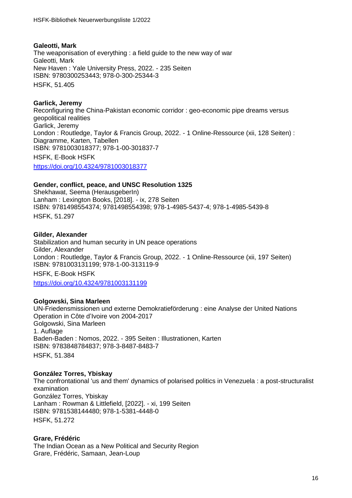# **Galeotti, Mark**

The weaponisation of everything : a field guide to the new way of war Galeotti, Mark New Haven : Yale University Press, 2022. - 235 Seiten ISBN: 9780300253443; 978-0-300-25344-3 HSFK, 51.405

# **Garlick, Jeremy**

Reconfiguring the China-Pakistan economic corridor : geo-economic pipe dreams versus geopolitical realities Garlick, Jeremy London : Routledge, Taylor & Francis Group, 2022. - 1 Online-Ressource (xii, 128 Seiten) : Diagramme, Karten, Tabellen ISBN: 9781003018377; 978-1-00-301837-7 HSFK, E-Book HSFK <https://doi.org/10.4324/9781003018377>

# **Gender, conflict, peace, and UNSC Resolution 1325**

Shekhawat, Seema (HerausgeberIn) Lanham : Lexington Books, [2018]. - ix, 278 Seiten ISBN: 9781498554374; 9781498554398; 978-1-4985-5437-4; 978-1-4985-5439-8 HSFK, 51.297

# **Gilder, Alexander**

Stabilization and human security in UN peace operations Gilder, Alexander London : Routledge, Taylor & Francis Group, 2022. - 1 Online-Ressource (xii, 197 Seiten) ISBN: 9781003131199; 978-1-00-313119-9 HSFK, E-Book HSFK <https://doi.org/10.4324/9781003131199>

# **Golgowski, Sina Marleen**

UN-Friedensmissionen und externe Demokratieförderung : eine Analyse der United Nations Operation in Côte d'Ivoire von 2004-2017 Golgowski, Sina Marleen 1. Auflage Baden-Baden : Nomos, 2022. - 395 Seiten : Illustrationen, Karten ISBN: 9783848784837; 978-3-8487-8483-7 HSFK, 51.38[4](http://deposit.dnb.de/cgi-bin/dokserv?id=548aa1dffe4c4914a84c9319bac9b905&prov=M&dok_var=1&dok_ext=htm)

# **González Torres, Ybiskay**

The confrontational 'us and them' dynamics of polarised politics in Venezuela : a post-structuralist examination González Torres, Ybiskay Lanham : Rowman & Littlefield, [2022]. - xi, 199 Seiten ISBN: 9781538144480; 978-1-5381-4448-0 HSFK, 51.272

# **Grare, Frédéric**

The Indian Ocean as a New Political and Security Region Grare, Frédéric, Samaan, Jean-Loup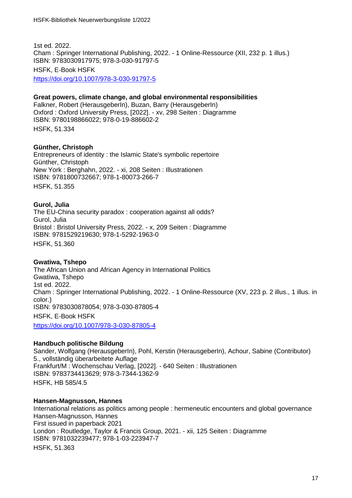1st ed. 2022. Cham : Springer International Publishing, 2022. - 1 Online-Ressource (XII, 232 p. 1 illus.) ISBN: 9783030917975; 978-3-030-91797-5 HSFK, E-Book HSFK

<https://doi.org/10.1007/978-3-030-91797-5>

**Great powers, climate change, and global environmental responsibilities** Falkner, Robert (HerausgeberIn), Buzan, Barry (HerausgeberIn) Oxford : Oxford University Press, [2022]. - xv, 298 Seiten : Diagramme ISBN: 9780198866022; 978-0-19-886602-2

HSFK, 51.334

#### **Günther, Christoph**

Entrepreneurs of identity : the Islamic State's symbolic repertoire Günther, Christoph New York : Berghahn, 2022. - xi, 208 Seiten : Illustrationen ISBN: 9781800732667; 978-1-80073-266-7 HSFK, 51.355

#### **Gurol, Julia**

The EU-China security paradox : cooperation against all odds? Gurol, Julia Bristol : Bristol University Press, 2022. - x, 209 Seiten : Diagramme ISBN: 9781529219630; 978-1-5292-1963-0 HSFK, 51.360

#### **Gwatiwa, Tshepo**

The African Union and African Agency in International Politics Gwatiwa, Tshepo 1st ed. 2022. Cham : Springer International Publishing, 2022. - 1 Online-Ressource (XV, 223 p. 2 illus., 1 illus. in color.) ISBN: 9783030878054; 978-3-030-87805-4 HSFK, E-Book HSFK <https://doi.org/10.1007/978-3-030-87805-4>

# **Handbuch politische Bildung**

Sander, Wolfgang (HerausgeberIn), Pohl, Kerstin (HerausgeberIn), Achour, Sabine (Contributor) 5., vollständig überarbeitete Auflage Frankfurt/M : Wochenschau Verlag, [2022]. - 640 Seiten : Illustrationen ISBN: 9783734413629; 978-3-7344-1362-9 HSFK, HB 585/4.5

#### **Hansen-Magnusson, Hannes**

International relations as politics among people : hermeneutic encounters and global governance Hansen-Magnusson, Hannes First issued in paperback 2021 London : Routledge, Taylor & Francis Group, 2021. - xii, 125 Seiten : Diagramme ISBN: 9781032239477; 978-1-03-223947-7 HSFK, 51.363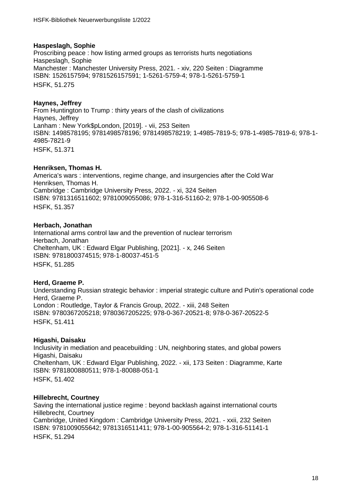# **Haspeslagh, Sophie**

Proscribing peace : how listing armed groups as terrorists hurts negotiations Haspeslagh, Sophie Manchester : Manchester University Press, 2021. - xiv, 220 Seiten : Diagramme ISBN: 1526157594; 9781526157591; 1-5261-5759-4; 978-1-5261-5759-1 HSFK, 51.27[5](https://manchesteruniversitypress.co.uk/9781526157591/proscribing-peace/)

# **Haynes, Jeffrey**

From Huntington to Trump : thirty years of the clash of civilizations Haynes, Jeffrey Lanham : New York\$pLondon, [2019]. - vii, 253 Seiten ISBN: 1498578195; 9781498578196; 9781498578219; 1-4985-7819-5; 978-1-4985-7819-6; 978-1- 4985-7821-9 HSFK, 51.371

# **Henriksen, Thomas H.**

America's wars : interventions, regime change, and insurgencies after the Cold War Henriksen, Thomas H. Cambridge : Cambridge University Press, 2022. - xi, 324 Seiten ISBN: 9781316511602; 9781009055086; 978-1-316-51160-2; 978-1-00-905508-6 HSFK, 51.357

# **Herbach, Jonathan**

International arms control law and the prevention of nuclear terrorism Herbach, Jonathan Cheltenham, UK : Edward Elgar Publishing, [2021]. - x, 246 Seiten ISBN: 9781800374515; 978-1-80037-451-5 HSFK, 51.285

# **Herd, Graeme P.**

Understanding Russian strategic behavior : imperial strategic culture and Putin's operational code Herd, Graeme P. London : Routledge, Taylor & Francis Group, 2022. - xiii, 248 Seiten ISBN: 9780367205218; 9780367205225; 978-0-367-20521-8; 978-0-367-20522-5 HSFK, 51.411

# **Higashi, Daisaku**

Inclusivity in mediation and peacebuilding : UN, neighboring states, and global powers Higashi, Daisaku Cheltenham, UK : Edward Elgar Publishing, 2022. - xii, 173 Seiten : Diagramme, Karte ISBN: 9781800880511; 978-1-80088-051-1 HSFK, 51.402

# **Hillebrecht, Courtney**

Saving the international justice regime : beyond backlash against international courts Hillebrecht, Courtney Cambridge, United Kingdom : Cambridge University Press, 2021. - xxii, 232 Seiten ISBN: 9781009055642; 9781316511411; 978-1-00-905564-2; 978-1-316-51141-1 HSFK, 51.294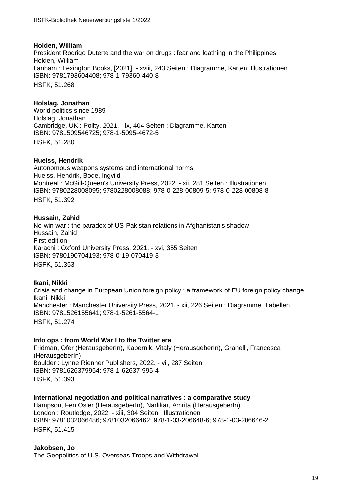# **Holden, William**

President Rodrigo Duterte and the war on drugs : fear and loathing in the Philippines Holden, William Lanham : Lexington Books, [2021]. - xviii, 243 Seiten : Diagramme, Karten, Illustrationen ISBN: 9781793604408; 978-1-79360-440-8 HSFK, 51.268

# **Holslag, Jonathan**

World politics since 1989 Holslag, Jonathan Cambridge, UK : Polity, 2021. - ix, 404 Seiten : Diagramme, Karten ISBN: 9781509546725; 978-1-5095-4672-5 HSFK, 51.280

# **Huelss, Hendrik**

Autonomous weapons systems and international norms Huelss, Hendrik, Bode, Ingvild Montreal : McGill-Queen's University Press, 2022. - xii, 281 Seiten : Illustrationen ISBN: 9780228008095; 9780228008088; 978-0-228-00809-5; 978-0-228-00808-8 HSFK, 51.392

# **Hussain, Zahid**

No-win war : the paradox of US-Pakistan relations in Afghanistan's shadow Hussain, Zahid First edition Karachi : Oxford University Press, 2021. - xvi, 355 Seiten ISBN: 9780190704193; 978-0-19-070419-3 HSFK, 51.353

# **Ikani, Nikki**

Crisis and change in European Union foreign policy : a framework of EU foreign policy change Ikani, Nikki Manchester : Manchester University Press, 2021. - xii, 226 Seiten : Diagramme, Tabellen ISBN: 9781526155641; 978-1-5261-5564-1 HSFK, 51.274

# **Info ops : from World War I to the Twitter era**

Fridman, Ofer (HerausgeberIn), Kabernik, Vitaly (HerausgeberIn), Granelli, Francesca (HerausgeberIn) Boulder : Lynne Rienner Publishers, 2022. - vii, 287 Seiten ISBN: 9781626379954; 978-1-62637-995-4 HSFK, 51.393

# **International negotiation and political narratives : a comparative study**

Hampson, Fen Osler (HerausgeberIn), Narlikar, Amrita (HerausgeberIn) London : Routledge, 2022. - xiii, 304 Seiten : Illustrationen ISBN: 9781032066486; 9781032066462; 978-1-03-206648-6; 978-1-03-206646-2 HSFK, 51.415

**Jakobsen, Jo**

The Geopolitics of U.S. Overseas Troops and Withdrawal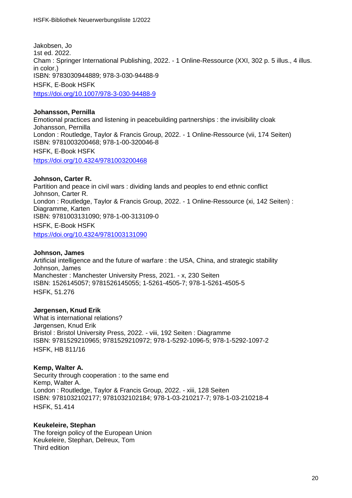Jakobsen, Jo 1st ed. 2022. Cham : Springer International Publishing, 2022. - 1 Online-Ressource (XXI, 302 p. 5 illus., 4 illus. in color.) ISBN: 9783030944889; 978-3-030-94488-9 HSFK, E-Book HSFK <https://doi.org/10.1007/978-3-030-94488-9>

**Johansson, Pernilla** Emotional practices and listening in peacebuilding partnerships : the invisibility cloak Johansson, Pernilla London : Routledge, Taylor & Francis Group, 2022. - 1 Online-Ressource (vii, 174 Seiten) ISBN: 9781003200468; 978-1-00-320046-8 HSFK, E-Book HSFK <https://doi.org/10.4324/9781003200468>

**Johnson, Carter R.** Partition and peace in civil wars : dividing lands and peoples to end ethnic conflict Johnson, Carter R. London : Routledge, Taylor & Francis Group, 2022. - 1 Online-Ressource (xi, 142 Seiten) : Diagramme, Karten ISBN: 9781003131090; 978-1-00-313109-0 HSFK, E-Book HSFK

<https://doi.org/10.4324/9781003131090>

# **Johnson, James**

Artificial intelligence and the future of warfare : the USA, China, and strategic stability Johnson, James Manchester : Manchester University Press, 2021. - x, 230 Seiten ISBN: 1526145057; 9781526145055; 1-5261-4505-7; 978-1-5261-4505-5 HSFK, 51.276

# **Jørgensen, Knud Erik**

What is international relations? Jørgensen, Knud Erik Bristol : Bristol University Press, 2022. - viii, 192 Seiten : Diagramme ISBN: 9781529210965; 9781529210972; 978-1-5292-1096-5; 978-1-5292-1097-2 HSFK, HB 811/16

# **Kemp, Walter A.**

Security through cooperation : to the same end Kemp, Walter A. London : Routledge, Taylor & Francis Group, 2022. - xiii, 128 Seiten ISBN: 9781032102177; 9781032102184; 978-1-03-210217-7; 978-1-03-210218-4 HSFK, 51.414

# **Keukeleire, Stephan**

The foreign policy of the European Union Keukeleire, Stephan, Delreux, Tom Third edition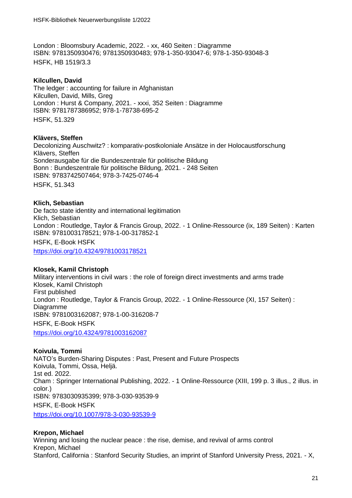London : Bloomsbury Academic, 2022. - xx, 460 Seiten : Diagramme ISBN: 9781350930476; 9781350930483; 978-1-350-93047-6; 978-1-350-93048-3 HSFK, HB 1519/3.3

# **Kilcullen, David**

The ledger : accounting for failure in Afghanistan Kilcullen, David, Mills, Greg London : Hurst & Company, 2021. - xxxi, 352 Seiten : Diagramme ISBN: 9781787386952; 978-1-78738-695-2 HSFK, 51.329

# **Klävers, Steffen**

Decolonizing Auschwitz? : komparativ-postkoloniale Ansätze in der Holocaustforschung Klävers, Steffen Sonderausgabe für die Bundeszentrale für politische Bildung Bonn : Bundeszentrale für politische Bildung, 2021. - 248 Seiten ISBN: 9783742507464; 978-3-7425-0746-4 HSFK, 51.343

# **Klich, Sebastian**

De facto state identity and international legitimation Klich, Sebastian London : Routledge, Taylor & Francis Group, 2022. - 1 Online-Ressource (ix, 189 Seiten) : Karten ISBN: 9781003178521; 978-1-00-317852-1 HSFK, E-Book HSFK <https://doi.org/10.4324/9781003178521>

# **Klosek, Kamil Christoph**

Military interventions in civil wars : the role of foreign direct investments and arms trade Klosek, Kamil Christoph First published London : Routledge, Taylor & Francis Group, 2022. - 1 Online-Ressource (XI, 157 Seiten) : Diagramme ISBN: 9781003162087; 978-1-00-316208-7 HSFK, E-Book HSFK <https://doi.org/10.4324/9781003162087>

**Koivula, Tommi** NATO's Burden-Sharing Disputes : Past, Present and Future Prospects Koivula, Tommi, Ossa, Heljä. 1st ed. 2022. Cham : Springer International Publishing, 2022. - 1 Online-Ressource (XIII, 199 p. 3 illus., 2 illus. in color.) ISBN: 9783030935399; 978-3-030-93539-9 HSFK, E-Book HSFK <https://doi.org/10.1007/978-3-030-93539-9>

# **Krepon, Michael**

Winning and losing the nuclear peace : the rise, demise, and revival of arms control Krepon, Michael Stanford, California : Stanford Security Studies, an imprint of Stanford University Press, 2021. - X,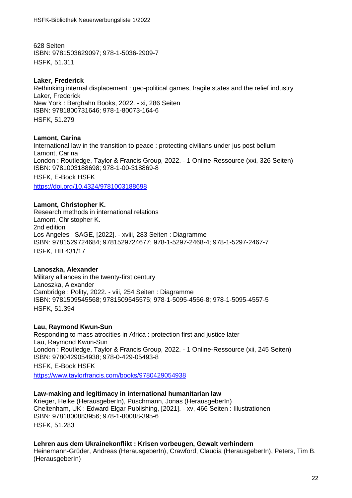628 Seiten ISBN: 9781503629097; 978-1-5036-2909-7 HSFK, 51.311

# **Laker, Frederick**

Rethinking internal displacement : geo-political games, fragile states and the relief industry Laker, Frederick New York : Berghahn Books, 2022. - xi, 286 Seiten ISBN: 9781800731646; 978-1-80073-164-6 HSFK, 51.279

# **Lamont, Carina**

International law in the transition to peace : protecting civilians under jus post bellum Lamont, Carina London : Routledge, Taylor & Francis Group, 2022. - 1 Online-Ressource (xxi, 326 Seiten) ISBN: 9781003188698; 978-1-00-318869-8 HSFK, E-Book HSFK <https://doi.org/10.4324/9781003188698>

# **Lamont, Christopher K.**

Research methods in international relations Lamont, Christopher K. 2nd edition Los Angeles : SAGE, [2022]. - xviii, 283 Seiten : Diagramme ISBN: 9781529724684; 9781529724677; 978-1-5297-2468-4; 978-1-5297-2467-7 HSFK, HB 431/17

# **Lanoszka, Alexander**

Military alliances in the twenty-first century Lanoszka, Alexander Cambridge : Polity, 2022. - viii, 254 Seiten : Diagramme ISBN: 9781509545568; 9781509545575; 978-1-5095-4556-8; 978-1-5095-4557-5 HSFK, 51.394

# **Lau, Raymond Kwun-Sun**

Responding to mass atrocities in Africa : protection first and justice later Lau, Raymond Kwun-Sun London : Routledge, Taylor & Francis Group, 2022. - 1 Online-Ressource (xii, 245 Seiten) ISBN: 9780429054938; 978-0-429-05493-8

HSFK, E-Book HSFK

<https://www.taylorfrancis.com/books/9780429054938>

# **Law-making and legitimacy in international humanitarian law**

Krieger, Heike (HerausgeberIn), Püschmann, Jonas (HerausgeberIn) Cheltenham, UK : Edward Elgar Publishing, [2021]. - xv, 466 Seiten : Illustrationen ISBN: 9781800883956; 978-1-80088-395-6 HSFK, 51.283

# **Lehren aus dem Ukrainekonflikt : Krisen vorbeugen, Gewalt verhindern**

Heinemann-Grüder, Andreas (HerausgeberIn), Crawford, Claudia (HerausgeberIn), Peters, Tim B. (HerausgeberIn)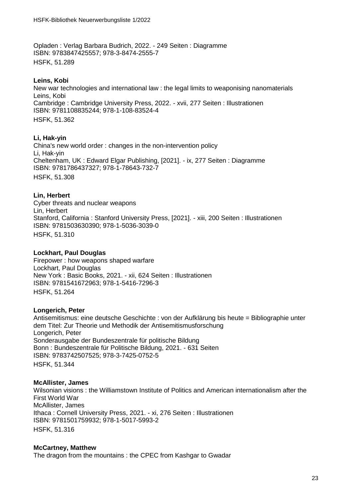Opladen : Verlag Barbara Budrich, 2022. - 249 Seiten : Diagramme ISBN: 9783847425557; 978-3-8474-2555-7 HSFK, 51.289

# **Leins, Kobi**

New war technologies and international law : the legal limits to weaponising nanomaterials Leins, Kobi Cambridge : Cambridge University Press, 2022. - xvii, 277 Seiten : Illustrationen ISBN: 9781108835244; 978-1-108-83524-4 HSFK, 51.362

# **Li, Hak-yin**

China's new world order : changes in the non-intervention policy Li, Hak-yin Cheltenham, UK : Edward Elgar Publishing, [2021]. - ix, 277 Seiten : Diagramme ISBN: 9781786437327; 978-1-78643-732-7 HSFK, 51.308

# **Lin, Herbert**

Cyber threats and nuclear weapons Lin, Herbert Stanford, California : Stanford University Press, [2021]. - xiii, 200 Seiten : Illustrationen ISBN: 9781503630390; 978-1-5036-3039-0 HSFK, 51.310

# **Lockhart, Paul Douglas**

Firepower : how weapons shaped warfare Lockhart, Paul Douglas New York : Basic Books, 2021. - xii, 624 Seiten : Illustrationen ISBN: 9781541672963; 978-1-5416-7296-3 HSFK, 51.264

# **Longerich, Peter**

Antisemitismus: eine deutsche Geschichte : von der Aufklärung bis heute = Bibliographie unter dem Titel: Zur Theorie und Methodik der Antisemitismusforschung Longerich, Peter Sonderausgabe der Bundeszentrale für politische Bildung Bonn : Bundeszentrale für Politische Bildung, 2021. - 631 Seiten ISBN: 9783742507525; 978-3-7425-0752-5 HSFK, 51.344

# **McAllister, James**

Wilsonian visions : the Williamstown Institute of Politics and American internationalism after the First World War McAllister, James Ithaca : Cornell University Press, 2021. - xi, 276 Seiten : Illustrationen ISBN: 9781501759932; 978-1-5017-5993-2 HSFK, 51.316

# **McCartney, Matthew**

The dragon from the mountains : the CPEC from Kashgar to Gwadar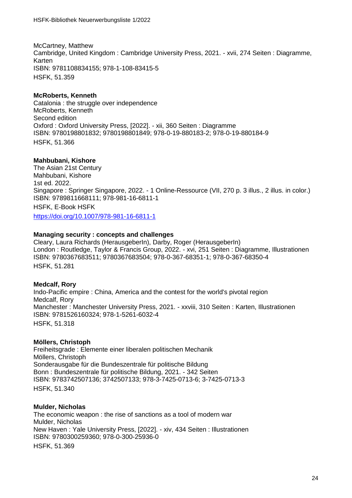McCartney, Matthew Cambridge, United Kingdom : Cambridge University Press, 2021. - xvii, 274 Seiten : Diagramme, Karten ISBN: 9781108834155; 978-1-108-83415-5 HSFK, 51.359

# **McRoberts, Kenneth**

Catalonia : the struggle over independence McRoberts, Kenneth Second edition Oxford : Oxford University Press, [2022]. - xii, 360 Seiten : Diagramme ISBN: 9780198801832; 9780198801849; 978-0-19-880183-2; 978-0-19-880184-9 HSFK, 51.366

# **Mahbubani, Kishore**

The Asian 21st Century Mahbubani, Kishore 1st ed. 2022. Singapore : Springer Singapore, 2022. - 1 Online-Ressource (VII, 270 p. 3 illus., 2 illus. in color.) ISBN: 9789811668111; 978-981-16-6811-1 HSFK, E-Book HSFK <https://doi.org/10.1007/978-981-16-6811-1>

# **Managing security : concepts and challenges**

Cleary, Laura Richards (HerausgeberIn), Darby, Roger (HerausgeberIn) London : Routledge, Taylor & Francis Group, 2022. - xvi, 251 Seiten : Diagramme, Illustrationen ISBN: 9780367683511; 9780367683504; 978-0-367-68351-1; 978-0-367-68350-4 HSFK, 51.281

# **Medcalf, Rory**

Indo-Pacific empire : China, America and the contest for the world's pivotal region Medcalf, Rory Manchester : Manchester University Press, 2021. - xxviii, 310 Seiten : Karten, Illustrationen ISBN: 9781526160324; 978-1-5261-6032-4 HSFK, 51.318

# **Möllers, Christoph**

Freiheitsgrade : Elemente einer liberalen politischen Mechanik Möllers, Christoph Sonderausgabe für die Bundeszentrale für politische Bildung Bonn : Bundeszentrale für politische Bildung, 2021. - 342 Seiten ISBN: 9783742507136; 3742507133; 978-3-7425-0713-6; 3-7425-0713-3 HSFK, 51.340

# **Mulder, Nicholas**

The economic weapon : the rise of sanctions as a tool of modern war Mulder, Nicholas New Haven : Yale University Press, [2022]. - xiv, 434 Seiten : Illustrationen ISBN: 9780300259360; 978-0-300-25936-0 HSFK, 51.369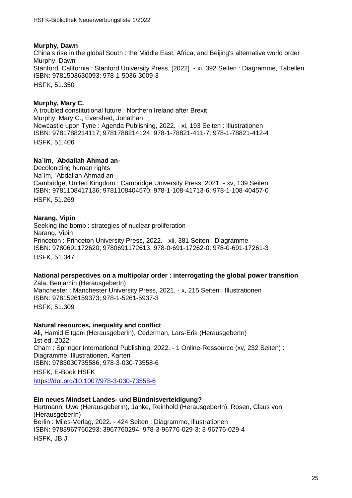# **Murphy, Dawn**

China's rise in the global South : the Middle East, Africa, and Beijing's alternative world order Murphy, Dawn Stanford, California : Stanford University Press, [2022]. - xi, 392 Seiten : Diagramme, Tabellen ISBN: 9781503630093; 978-1-5036-3009-3 HSFK, 51.350

# **Murphy, Mary C.**

A troubled constitutional future : Northern Ireland after Brexit Murphy, Mary C., Evershed, Jonathan Newcastle upon Tyne : Agenda Publishing, 2022. - xi, 193 Seiten : Illustrationen ISBN: 9781788214117; 9781788214124; 978-1-78821-411-7; 978-1-78821-412-4 HSFK, 51.406

# **Naʿim, ʿAbdallah Ahmad an-**

Decolonizing human rights Naʿim, ʿAbdallah Ahmad an-Cambridge, United Kingdom : Cambridge University Press, 2021. - xv, 139 Seiten ISBN: 9781108417136; 9781108404570; 978-1-108-41713-6; 978-1-108-40457-0 HSFK, 51.269

# **Narang, Vipin**

Seeking the bomb : strategies of nuclear proliferation Narang, Vipin Princeton : Princeton University Press, 2022. - xii, 381 Seiten : Diagramme ISBN: 9780691172620; 9780691172613; 978-0-691-17262-0; 978-0-691-17261-3 HSFK, 51.347

# **National perspectives on a multipolar order : interrogating the global power transition**

Zala, Benjamin (HerausgeberIn) Manchester : Manchester University Press, 2021. - x, 215 Seiten : Illustrationen ISBN: 9781526159373; 978-1-5261-5937-3 HSFK, 51.309

# **Natural resources, inequality and conflict**

Ali, Hamid Eltgani (HerausgeberIn), Cederman, Lars-Erik (HerausgeberIn) 1st ed. 2022 Cham : Springer International Publishing, 2022. - 1 Online-Ressource (xv, 232 Seiten) : Diagramme, Illustrationen, Karten ISBN: 9783030735586; 978-3-030-73558-6 HSFK, E-Book HSFK

<https://doi.org/10.1007/978-3-030-73558-6>

# **Ein neues Mindset Landes- und Bündnisverteidigung?**

Hartmann, Uwe (HerausgeberIn), Janke, Reinhold (HerausgeberIn), Rosen, Claus von (HerausgeberIn) Berlin : Miles-Verlag, 2022. - 424 Seiten : Diagramme, Illustrationen ISBN: 9783967760293; 3967760294; 978-3-96776-029-3; 3-96776-029-4 HSFK, JB J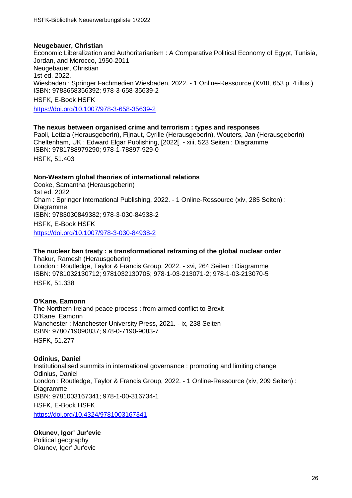# **Neugebauer, Christian**

Economic Liberalization and Authoritarianism : A Comparative Political Economy of Egypt, Tunisia, Jordan, and Morocco, 1950-2011 Neugebauer, Christian 1st ed. 2022. Wiesbaden : Springer Fachmedien Wiesbaden, 2022. - 1 Online-Ressource (XVIII, 653 p. 4 illus.) ISBN: 9783658356392; 978-3-658-35639-2 HSFK, E-Book HSFK

<https://doi.org/10.1007/978-3-658-35639-2>

# **The nexus between organised crime and terrorism : types and responses**

Paoli, Letizia (HerausgeberIn), Fijnaut, Cyrille (HerausgeberIn), Wouters, Jan (HerausgeberIn) Cheltenham, UK : Edward Elgar Publishing, [2022[. - xiii, 523 Seiten : Diagramme ISBN: 9781788979290; 978-1-78897-929-0 HSFK, 51.403

# **Non-Western global theories of international relations**

Cooke, Samantha (HerausgeberIn) 1st ed. 2022 Cham : Springer International Publishing, 2022. - 1 Online-Ressource (xiv, 285 Seiten) : Diagramme ISBN: 9783030849382; 978-3-030-84938-2 HSFK, E-Book HSFK <https://doi.org/10.1007/978-3-030-84938-2>

# **The nuclear ban treaty : a transformational reframing of the global nuclear order** Thakur, Ramesh (HerausgeberIn)

London : Routledge, Taylor & Francis Group, 2022. - xvi, 264 Seiten : Diagramme ISBN: 9781032130712; 9781032130705; 978-1-03-213071-2; 978-1-03-213070-5 HSFK, 51.338

# **O'Kane, Eamonn**

The Northern Ireland peace process : from armed conflict to Brexit O'Kane, Eamonn Manchester : Manchester University Press, 2021. - ix, 238 Seiten ISBN: 9780719090837; 978-0-7190-9083-7 HSFK, 51.277

# **Odinius, Daniel**

Institutionalised summits in international governance : promoting and limiting change Odinius, Daniel London : Routledge, Taylor & Francis Group, 2022. - 1 Online-Ressource (xiv, 209 Seiten) : Diagramme ISBN: 9781003167341; 978-1-00-316734-1 HSFK, E-Book HSFK <https://doi.org/10.4324/9781003167341>

**Okunev, Igor' Jur'evic** Political geography Okunev, Igor' Jur'evic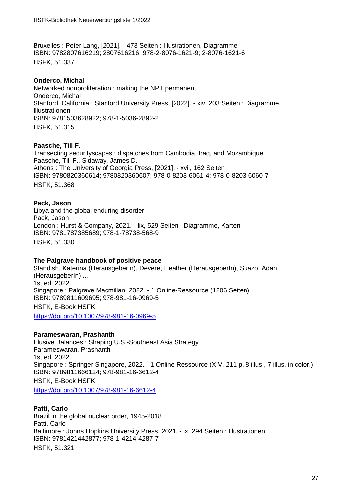Bruxelles : Peter Lang, [2021]. - 473 Seiten : Illustrationen, Diagramme ISBN: 9782807616219; 2807616216; 978-2-8076-1621-9; 2-8076-1621-6 HSFK, 51.337

# **Onderco, Michal**

Networked nonproliferation : making the NPT permanent Onderco, Michal Stanford, California : Stanford University Press, [2022]. - xiv, 203 Seiten : Diagramme, Illustrationen ISBN: 9781503628922; 978-1-5036-2892-2 HSFK, 51.315

# **Paasche, Till F.**

Transecting securityscapes : dispatches from Cambodia, Iraq, and Mozambique Paasche, Till F., Sidaway, James D. Athens : The University of Georgia Press, [2021]. - xvii, 162 Seiten ISBN: 9780820360614; 9780820360607; 978-0-8203-6061-4; 978-0-8203-6060-7 HSFK, 51.368

# **Pack, Jason**

Libya and the global enduring disorder Pack, Jason London : Hurst & Company, 2021. - lix, 529 Seiten : Diagramme, Karten ISBN: 9781787385689; 978-1-78738-568-9 HSFK, 51.330

# **The Palgrave handbook of positive peace**

Standish, Katerina (HerausgeberIn), Devere, Heather (HerausgeberIn), Suazo, Adan (HerausgeberIn) ... 1st ed. 2022. Singapore : Palgrave Macmillan, 2022. - 1 Online-Ressource (1206 Seiten) ISBN: 9789811609695; 978-981-16-0969-5 HSFK, E-Book HSFK

<https://doi.org/10.1007/978-981-16-0969-5>

# **Parameswaran, Prashanth**

Elusive Balances : Shaping U.S.-Southeast Asia Strategy Parameswaran, Prashanth 1st ed. 2022. Singapore : Springer Singapore, 2022. - 1 Online-Ressource (XIV, 211 p. 8 illus., 7 illus. in color.) ISBN: 9789811666124; 978-981-16-6612-4 HSFK, E-Book HSFK

<https://doi.org/10.1007/978-981-16-6612-4>

# **Patti, Carlo**

Brazil in the global nuclear order, 1945-2018 Patti, Carlo Baltimore : Johns Hopkins University Press, 2021. - ix, 294 Seiten : Illustrationen ISBN: 9781421442877; 978-1-4214-4287-7

HSFK, 51.321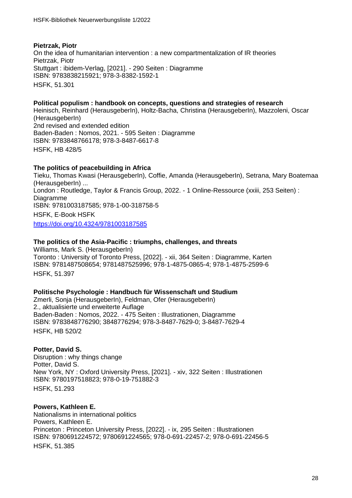# **Pietrzak, Piotr** On the idea of humanitarian intervention : a new compartmentalization of IR theories Pietrzak, Piotr Stuttgart : ibidem-Verlag, [2021]. - 290 Seiten : Diagramme ISBN: 9783838215921; 978-3-8382-1592-1 HSFK, 51.30[1](http://deposit.dnb.de/cgi-bin/dokserv?id=3f2a6dd52d5f4cd38e7e9f2c44c5c944&prov=M&dok_var=1&dok_ext=htm)

#### **Political populism : handbook on concepts, questions and strategies of research** Heinisch, Reinhard (HerausgeberIn), Holtz-Bacha, Christina (HerausgeberIn), Mazzoleni, Oscar (HerausgeberIn) 2nd revised and extended edition Baden-Baden : Nomos, 2021. - 595 Seiten : Diagramme ISBN: 9783848766178; 978-3-8487-6617-8 HSFK, HB 428/[5](http://deposit.dnb.de/cgi-bin/dokserv?id=31127c36730f49af8ec15ef83a6fc465&prov=M&dok_var=1&dok_ext=htm)

# **The politics of peacebuilding in Africa**

Tieku, Thomas Kwasi (HerausgeberIn), Coffie, Amanda (HerausgeberIn), Setrana, Mary Boatemaa (HerausgeberIn) ... London : Routledge, Taylor & Francis Group, 2022. - 1 Online-Ressource (xxiii, 253 Seiten) : Diagramme ISBN: 9781003187585; 978-1-00-318758-5 HSFK, E-Book HSFK <https://doi.org/10.4324/9781003187585>

#### **The politics of the Asia-Pacific : triumphs, challenges, and threats**

Williams, Mark S. (HerausgeberIn) Toronto : University of Toronto Press, [2022]. - xii, 364 Seiten : Diagramme, Karten ISBN: 9781487508654; 9781487525996; 978-1-4875-0865-4; 978-1-4875-2599-6 HSFK, 51.397

# **Politische Psychologie : Handbuch für Wissenschaft und Studium**

Zmerli, Sonja (HerausgeberIn), Feldman, Ofer (HerausgeberIn) 2., aktualisierte und erweiterte Auflage Baden-Baden : Nomos, 2022. - 475 Seiten : Illustrationen, Diagramme ISBN: 9783848776290; 3848776294; 978-3-8487-7629-0; 3-8487-7629-4 HSFK, HB 520/[2](http://deposit.dnb.de/cgi-bin/dokserv?id=5c765a4890ec41789133b55a729b1711&prov=M&dok_var=1&dok_ext=htm)

#### **Potter, David S.**

Disruption : why things change Potter, David S. New York, NY : Oxford University Press, [2021]. - xiv, 322 Seiten : Illustrationen ISBN: 9780197518823; 978-0-19-751882-3 HSFK, 51.29[3](https://www.gbv.de/dms/bowker/toc/9780197518823.pdf)

#### **Powers, Kathleen E.**

Nationalisms in international politics Powers, Kathleen E. Princeton : Princeton University Press, [2022]. - ix, 295 Seiten : Illustrationen ISBN: 9780691224572; 9780691224565; 978-0-691-22457-2; 978-0-691-22456-5 HSFK, 51.385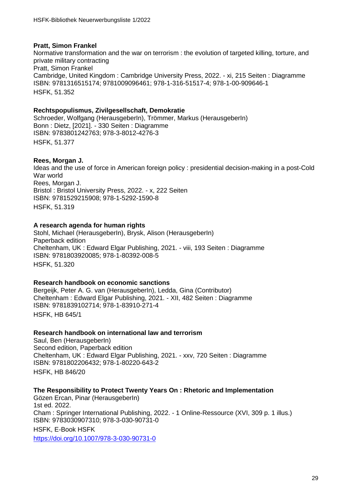# **Pratt, Simon Frankel**

Normative transformation and the war on terrorism : the evolution of targeted killing, torture, and private military contracting Pratt, Simon Frankel Cambridge, United Kingdom : Cambridge University Press, 2022. - xi, 215 Seiten : Diagramme ISBN: 9781316515174; 9781009096461; 978-1-316-51517-4; 978-1-00-909646-1 HSFK, 51.352

# **Rechtspopulismus, Zivilgesellschaft, Demokratie**

Schroeder, Wolfgang (HerausgeberIn), Trömmer, Markus (HerausgeberIn) Bonn : Dietz, [2021]. - 330 Seiten : Diagramme ISBN: 9783801242763; 978-3-8012-4276-3 HSFK, 51.37[7](http://deposit.dnb.de/cgi-bin/dokserv?id=0c60f354221c4e5db5005a082a2d9dd9&prov=M&dok_var=1&dok_ext=htm)

# **Rees, Morgan J.**

Ideas and the use of force in American foreign policy : presidential decision-making in a post-Cold War world Rees, Morgan J. Bristol : Bristol University Press, 2022. - x, 222 Seiten ISBN: 9781529215908; 978-1-5292-1590-8 HSFK, 51.319

# **A research agenda for human rights**

Stohl, Michael (HerausgeberIn), Brysk, Alison (HerausgeberIn) Paperback edition Cheltenham, UK : Edward Elgar Publishing, 2021. - viii, 193 Seiten : Diagramme ISBN: 9781803920085; 978-1-80392-008-5 HSFK, 51.320

# **Research handbook on economic sanctions**

Bergeijk, Peter A. G. van (HerausgeberIn), Ledda, Gina (Contributor) Cheltenham : Edward Elgar Publishing, 2021. - XII, 482 Seiten : Diagramme ISBN: 9781839102714; 978-1-83910-271-4 HSFK, HB 645/1

# **Research handbook on international law and terrorism**

Saul, Ben (HerausgeberIn) Second edition, Paperback edition Cheltenham, UK : Edward Elgar Publishing, 2021. - xxv, 720 Seiten : Diagramme ISBN: 9781802206432; 978-1-80220-643-2 HSFK, HB 846/20

# **The Responsibility to Protect Twenty Years On : Rhetoric and Implementation**

Gözen Ercan, Pinar (HerausgeberIn) 1st ed. 2022. Cham : Springer International Publishing, 2022. - 1 Online-Ressource (XVI, 309 p. 1 illus.) ISBN: 9783030907310; 978-3-030-90731-0 HSFK, E-Book HSFK <https://doi.org/10.1007/978-3-030-90731-0>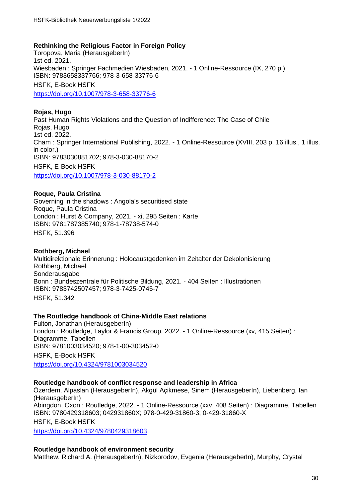# **Rethinking the Religious Factor in Foreign Policy**

Toropova, Maria (HerausgeberIn) 1st ed. 2021. Wiesbaden : Springer Fachmedien Wiesbaden, 2021. - 1 Online-Ressource (IX, 270 p.) ISBN: 9783658337766; 978-3-658-33776-6 HSFK, E-Book HSFK <https://doi.org/10.1007/978-3-658-33776-6>

# **Rojas, Hugo**

Past Human Rights Violations and the Question of Indifference: The Case of Chile Rojas, Hugo 1st ed. 2022. Cham : Springer International Publishing, 2022. - 1 Online-Ressource (XVIII, 203 p. 16 illus., 1 illus. in color.) ISBN: 9783030881702; 978-3-030-88170-2 HSFK, E-Book HSFK <https://doi.org/10.1007/978-3-030-88170-2>

# **Roque, Paula Cristina**

Governing in the shadows : Angola's securitised state Roque, Paula Cristina London : Hurst & Company, 2021. - xi, 295 Seiten : Karte ISBN: 9781787385740; 978-1-78738-574-0 HSFK, 51.396

# **Rothberg, Michael**

Multidirektionale Erinnerung : Holocaustgedenken im Zeitalter der Dekolonisierung Rothberg, Michael Sonderausgabe Bonn : Bundeszentrale für Politische Bildung, 2021. - 404 Seiten : Illustrationen ISBN: 9783742507457; 978-3-7425-0745-7 HSFK, 51.342

# **The Routledge handbook of China-Middle East relations**

Fulton, Jonathan (HerausgeberIn) London : Routledge, Taylor & Francis Group, 2022. - 1 Online-Ressource (xv, 415 Seiten) : Diagramme, Tabellen ISBN: 9781003034520; 978-1-00-303452-0 HSFK, E-Book HSFK <https://doi.org/10.4324/9781003034520>

# **Routledge handbook of conflict response and leadership in Africa**

Özerdem, Alpaslan (HerausgeberIn), Akgül Açikmese, Sinem (HerausgeberIn), Liebenberg, Ian (HerausgeberIn) Abingdon, Oxon : Routledge, 2022. - 1 Online-Ressource (xxv, 408 Seiten) : Diagramme, Tabellen ISBN: 9780429318603; 042931860X; 978-0-429-31860-3; 0-429-31860-X HSFK, E-Book HSFK <https://doi.org/10.4324/9780429318603>

# **Routledge handbook of environment security**

Matthew, Richard A. (HerausgeberIn), Nizkorodov, Evgenia (HerausgeberIn), Murphy, Crystal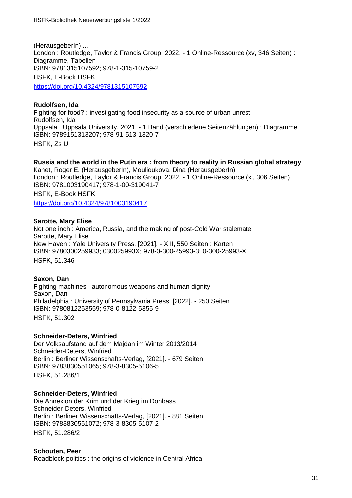(HerausgeberIn) ... London : Routledge, Taylor & Francis Group, 2022. - 1 Online-Ressource (xv, 346 Seiten) : Diagramme, Tabellen ISBN: 9781315107592; 978-1-315-10759-2 HSFK, E-Book HSFK <https://doi.org/10.4324/9781315107592>

# **Rudolfsen, Ida** Fighting for food? : investigating food insecurity as a source of urban unrest Rudolfsen, Ida Uppsala : Uppsala University, 2021. - 1 Band (verschiedene Seitenzählungen) : Diagramme ISBN: 9789151313207; 978-91-513-1320-7 HSFK, Zs [U](http://www.diva-portal.org/smash/get/diva2:1603223/FULLTEXT01.pdf)

**Russia and the world in the Putin era : from theory to reality in Russian global strategy** Kanet, Roger E. (HerausgeberIn), Moulioukova, Dina (HerausgeberIn) London : Routledge, Taylor & Francis Group, 2022. - 1 Online-Ressource (xi, 306 Seiten) ISBN: 9781003190417; 978-1-00-319041-7 HSFK, E-Book HSFK <https://doi.org/10.4324/9781003190417>

# **Sarotte, Mary Elise**

Not one inch : America, Russia, and the making of post-Cold War stalemate Sarotte, Mary Elise New Haven : Yale University Press, [2021]. - XIII, 550 Seiten : Karten ISBN: 9780300259933; 030025993X; 978-0-300-25993-3; 0-300-25993-X HSFK, 51.346

# **Saxon, Dan**

Fighting machines : autonomous weapons and human dignity Saxon, Dan Philadelphia : University of Pennsylvania Press, [2022]. - 250 Seiten ISBN: 9780812253559; 978-0-8122-5355-9 HSFK, 51.302

# **Schneider-Deters, Winfried**

Der Volksaufstand auf dem Majdan im Winter 2013/2014 Schneider-Deters, Winfried Berlin : Berliner Wissenschafts-Verlag, [2021]. - 679 Seiten ISBN: 9783830551065; 978-3-8305-5106-5 HSFK, 51.286/[1](http://www.informationsmittel-fuer-bibliotheken.de/showfile.php?id=11003)

# **Schneider-Deters, Winfried**

Die Annexion der Krim und der Krieg im Donbass Schneider-Deters, Winfried Berlin : Berliner Wissenschafts-Verlag, [2021]. - 881 Seiten ISBN: 9783830551072; 978-3-8305-5107-2 HSFK, 51.286/[2](http://www.informationsmittel-fuer-bibliotheken.de/showfile.php?id=11003)

# **Schouten, Peer**

Roadblock politics : the origins of violence in Central Africa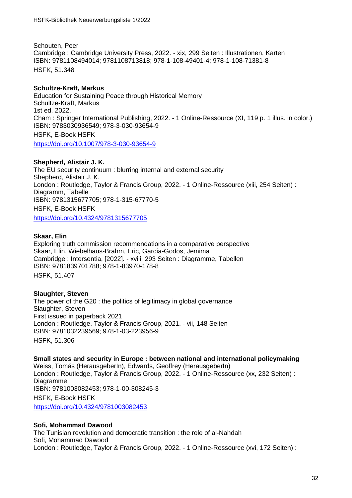Schouten, Peer Cambridge : Cambridge University Press, 2022. - xix, 299 Seiten : Illustrationen, Karten ISBN: 9781108494014; 9781108713818; 978-1-108-49401-4; 978-1-108-71381-8 HSFK, 51.348

# **Schultze-Kraft, Markus**

Education for Sustaining Peace through Historical Memory Schultze-Kraft, Markus 1st ed. 2022. Cham : Springer International Publishing, 2022. - 1 Online-Ressource (XI, 119 p. 1 illus. in color.) ISBN: 9783030936549; 978-3-030-93654-9 HSFK, E-Book HSFK <https://doi.org/10.1007/978-3-030-93654-9>

**Shepherd, Alistair J. K.**

The EU security continuum : blurring internal and external security Shepherd, Alistair J. K. London : Routledge, Taylor & Francis Group, 2022. - 1 Online-Ressource (xiii, 254 Seiten) : Diagramm, Tabelle ISBN: 9781315677705; 978-1-315-67770-5 HSFK, E-Book HSFK

<https://doi.org/10.4324/9781315677705>

# **Skaar, Elin**

Exploring truth commission recommendations in a comparative perspective Skaar, Elin, Wiebelhaus-Brahm, Eric, García-Godos, Jemima Cambridge : Intersentia, [2022]. - xviii, 293 Seiten : Diagramme, Tabellen ISBN: 9781839701788; 978-1-83970-178-8 HSFK, 51.407

# **Slaughter, Steven**

The power of the G20 : the politics of legitimacy in global governance Slaughter, Steven First issued in paperback 2021 London : Routledge, Taylor & Francis Group, 2021. - vii, 148 Seiten ISBN: 9781032239569; 978-1-03-223956-9 HSFK, 51.306

# **Small states and security in Europe : between national and international policymaking**

Weiss, Tomás (HerausgeberIn), Edwards, Geoffrey (HerausgeberIn) London : Routledge, Taylor & Francis Group, 2022. - 1 Online-Ressource (xx, 232 Seiten) : Diagramme ISBN: 9781003082453; 978-1-00-308245-3 HSFK, E-Book HSFK <https://doi.org/10.4324/9781003082453>

# **Sofi, Mohammad Dawood**

The Tunisian revolution and democratic transition : the role of al-Nahdah Sofi, Mohammad Dawood London : Routledge, Taylor & Francis Group, 2022. - 1 Online-Ressource (xvi, 172 Seiten) :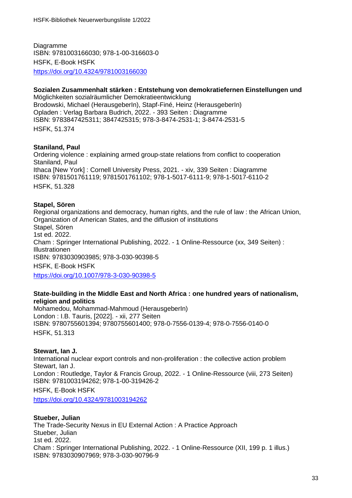Diagramme ISBN: 9781003166030; 978-1-00-316603-0 HSFK, E-Book HSFK <https://doi.org/10.4324/9781003166030>

# **Sozialen Zusammenhalt stärken : Entstehung von demokratiefernen Einstellungen und**

Möglichkeiten sozialräumlicher Demokratieentwicklung Brodowski, Michael (HerausgeberIn), Stapf-Finé, Heinz (HerausgeberIn) Opladen : Verlag Barbara Budrich, 2022. - 393 Seiten : Diagramme ISBN: 9783847425311; 3847425315; 978-3-8474-2531-1; 3-8474-2531-5 HSFK, 51.374

# **Staniland, Paul**

Ordering violence : explaining armed group-state relations from conflict to cooperation Staniland, Paul Ithaca [New York] : Cornell University Press, 2021. - xiv, 339 Seiten : Diagramme ISBN: 9781501761119; 9781501761102; 978-1-5017-6111-9; 978-1-5017-6110-2 HSFK, 51.328

# **Stapel, Sören**

Regional organizations and democracy, human rights, and the rule of law : the African Union, Organization of American States, and the diffusion of institutions Stapel, Sören 1st ed. 2022. Cham : Springer International Publishing, 2022. - 1 Online-Ressource (xx, 349 Seiten) : Illustrationen ISBN: 9783030903985; 978-3-030-90398-5 HSFK, E-Book HSFK <https://doi.org/10.1007/978-3-030-90398-5>

# **State-building in the Middle East and North Africa : one hundred years of nationalism, religion and politics**

Mohamedou, Mohammad-Mahmoud (HerausgeberIn) London : I.B. Tauris, [2022]. - xii, 277 Seiten ISBN: 9780755601394; 9780755601400; 978-0-7556-0139-4; 978-0-7556-0140-0 HSFK, 51.313

# **Stewart, Ian J.**

International nuclear export controls and non-proliferation : the collective action problem Stewart, Ian J. London : Routledge, Taylor & Francis Group, 2022. - 1 Online-Ressource (viii, 273 Seiten) ISBN: 9781003194262; 978-1-00-319426-2 HSFK, E-Book HSFK

<https://doi.org/10.4324/9781003194262>

# **Stueber, Julian**

The Trade-Security Nexus in EU External Action : A Practice Approach Stueber, Julian 1st ed. 2022. Cham : Springer International Publishing, 2022. - 1 Online-Ressource (XII, 199 p. 1 illus.) ISBN: 9783030907969; 978-3-030-90796-9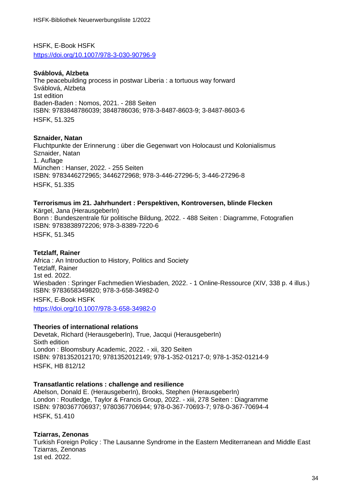HSFK, E-Book HSFK <https://doi.org/10.1007/978-3-030-90796-9>

# **Sváblová, Alzbeta**

The peacebuilding process in postwar Liberia : a tortuous way forward Sváblová, Alzbeta 1st edition Baden-Baden : Nomos, 2021. - 288 Seiten ISBN: 9783848786039; 3848786036; 978-3-8487-8603-9; 3-8487-8603-6 HSFK, 51.32[5](http://deposit.dnb.de/cgi-bin/dokserv?id=f4aba99d58f84b1ca6e2b59c3e6d7e8a&prov=M&dok_var=1&dok_ext=htm)

#### **Sznaider, Natan**

Fluchtpunkte der Erinnerung : über die Gegenwart von Holocaust und Kolonialismus Sznaider, Natan 1. Auflage München : Hanser, 2022. - 255 Seiten ISBN: 9783446272965; 3446272968; 978-3-446-27296-5; 3-446-27296-8 HSFK, 51.335

#### **Terrorismus im 21. Jahrhundert : Perspektiven, Kontroversen, blinde Flecken**

Kärgel, Jana (HerausgeberIn) Bonn : Bundeszentrale für politische Bildung, 2022. - 488 Seiten : Diagramme, Fotografien ISBN: 9783838972206; 978-3-8389-7220-6 HSFK, 51.345

#### **Tetzlaff, Rainer**

Africa : An Introduction to History, Politics and Society Tetzlaff, Rainer 1st ed. 2022. Wiesbaden : Springer Fachmedien Wiesbaden, 2022. - 1 Online-Ressource (XIV, 338 p. 4 illus.) ISBN: 9783658349820; 978-3-658-34982-0 HSFK, E-Book HSFK <https://doi.org/10.1007/978-3-658-34982-0>

#### **Theories of international relations**

Devetak, Richard (HerausgeberIn), True, Jacqui (HerausgeberIn) Sixth edition London : Bloomsbury Academic, 2022. - xii, 320 Seiten ISBN: 9781352012170; 9781352012149; 978-1-352-01217-0; 978-1-352-01214-9 HSFK, HB 812/12

#### **Transatlantic relations : challenge and resilience**

Abelson, Donald E. (HerausgeberIn), Brooks, Stephen (HerausgeberIn) London : Routledge, Taylor & Francis Group, 2022. - xiii, 278 Seiten : Diagramme ISBN: 9780367706937; 9780367706944; 978-0-367-70693-7; 978-0-367-70694-4 HSFK, 51.410

# **Tziarras, Zenonas**

Turkish Foreign Policy : The Lausanne Syndrome in the Eastern Mediterranean and Middle East Tziarras, Zenonas 1st ed. 2022.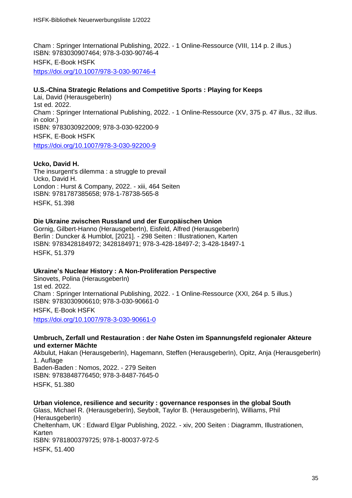Cham : Springer International Publishing, 2022. - 1 Online-Ressource (VIII, 114 p. 2 illus.) ISBN: 9783030907464; 978-3-030-90746-4 HSFK, E-Book HSFK <https://doi.org/10.1007/978-3-030-90746-4>

# **U.S.-China Strategic Relations and Competitive Sports : Playing for Keeps**

Lai, David (HerausgeberIn) 1st ed. 2022. Cham : Springer International Publishing, 2022. - 1 Online-Ressource (XV, 375 p. 47 illus., 32 illus. in color.) ISBN: 9783030922009; 978-3-030-92200-9 HSFK, E-Book HSFK <https://doi.org/10.1007/978-3-030-92200-9>

# **Ucko, David H.**

The insurgent's dilemma : a struggle to prevail Ucko, David H. London : Hurst & Company, 2022. - xiii, 464 Seiten ISBN: 9781787385658; 978-1-78738-565-8 HSFK, 51.398

# **Die Ukraine zwischen Russland und der Europäischen Union**

Gornig, Gilbert-Hanno (HerausgeberIn), Eisfeld, Alfred (HerausgeberIn) Berlin : Duncker & Humblot, [2021]. - 298 Seiten : Illustrationen, Karten ISBN: 9783428184972; 3428184971; 978-3-428-18497-2; 3-428-18497-1 HSFK, 51.379

# **Ukraine's Nuclear History : A Non-Proliferation Perspective**

Sinovets, Polina (HerausgeberIn) 1st ed. 2022. Cham : Springer International Publishing, 2022. - 1 Online-Ressource (XXI, 264 p. 5 illus.) ISBN: 9783030906610; 978-3-030-90661-0 HSFK, E-Book HSFK <https://doi.org/10.1007/978-3-030-90661-0>

#### **Umbruch, Zerfall und Restauration : der Nahe Osten im Spannungsfeld regionaler Akteure und externer Mächte**

Akbulut, Hakan (HerausgeberIn), Hagemann, Steffen (HerausgeberIn), Opitz, Anja (HerausgeberIn) 1. Auflage Baden-Baden : Nomos, 2022. - 279 Seiten ISBN: 9783848776450; 978-3-8487-7645-0 HSFK, 51.38[0](http://deposit.dnb.de/cgi-bin/dokserv?id=2cc10a0169c3460ea865b56fdf026603&prov=M&dok_var=1&dok_ext=htm)

**Urban violence, resilience and security : governance responses in the global South** Glass, Michael R. (HerausgeberIn), Seybolt, Taylor B. (HerausgeberIn), Williams, Phil (HerausgeberIn) Cheltenham, UK : Edward Elgar Publishing, 2022. - xiv, 200 Seiten : Diagramm, Illustrationen, Karten ISBN: 9781800379725; 978-1-80037-972-5 HSFK, 51.400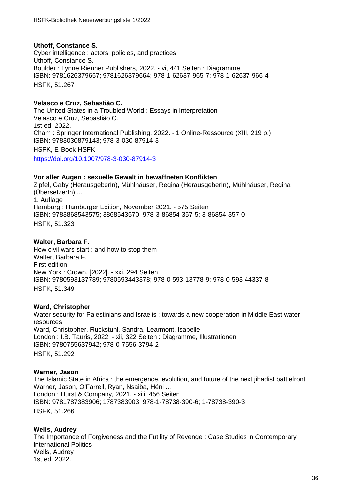# **Uthoff, Constance S.**

Cyber intelligence : actors, policies, and practices Uthoff, Constance S. Boulder : Lynne Rienner Publishers, 2022. - vi, 441 Seiten : Diagramme ISBN: 9781626379657; 9781626379664; 978-1-62637-965-7; 978-1-62637-966-4 HSFK, 51.267

# **Velasco e Cruz, Sebastião C.**

The United States in a Troubled World : Essays in Interpretation Velasco e Cruz, Sebastião C. 1st ed. 2022. Cham : Springer International Publishing, 2022. - 1 Online-Ressource (XIII, 219 p.) ISBN: 9783030879143; 978-3-030-87914-3 HSFK, E-Book HSFK <https://doi.org/10.1007/978-3-030-87914-3>

#### **Vor aller Augen : sexuelle Gewalt in bewaffneten Konflikten**

Zipfel, Gaby (HerausgeberIn), Mühlhäuser, Regina (HerausgeberIn), Mühlhäuser, Regina (ÜbersetzerIn) ... 1. Auflage Hamburg : Hamburger Edition, November 2021. - 575 Seiten ISBN: 9783868543575; 3868543570; 978-3-86854-357-5; 3-86854-357-0 HSFK, 51.323

# **Walter, Barbara F.**

How civil wars start : and how to stop them Walter, Barbara F. First edition New York : Crown, [2022]. - xxi, 294 Seiten ISBN: 9780593137789; 9780593443378; 978-0-593-13778-9; 978-0-593-44337-8 HSFK, 51.349

# **Ward, Christopher**

Water security for Palestinians and Israelis : towards a new cooperation in Middle East water resources Ward, Christopher, Ruckstuhl, Sandra, Learmont, Isabelle London : I.B. Tauris, 2022. - xii, 322 Seiten : Diagramme, Illustrationen ISBN: 9780755637942; 978-0-7556-3794-2 HSFK, 51.292

# **Warner, Jason**

The Islamic State in Africa : the emergence, evolution, and future of the next jihadist battlefront Warner, Jason, O'Farrell, Ryan, Nsaiba, Héni ... London : Hurst & Company, 2021. - xiii, 456 Seiten ISBN: 9781787383906; 1787383903; 978-1-78738-390-6; 1-78738-390-3 HSFK, 51.266

# **Wells, Audrey**

The Importance of Forgiveness and the Futility of Revenge : Case Studies in Contemporary International Politics Wells, Audrey 1st ed. 2022.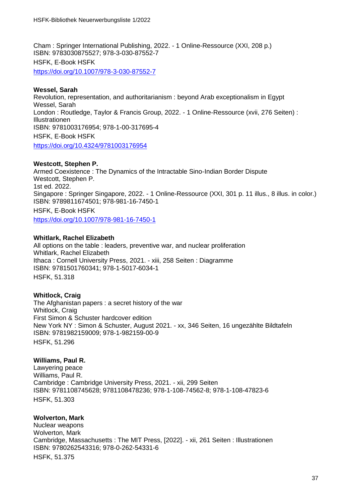Cham : Springer International Publishing, 2022. - 1 Online-Ressource (XXI, 208 p.) ISBN: 9783030875527; 978-3-030-87552-7 HSFK, E-Book HSFK <https://doi.org/10.1007/978-3-030-87552-7>

# **Wessel, Sarah**

Revolution, representation, and authoritarianism : beyond Arab exceptionalism in Egypt Wessel, Sarah London : Routledge, Taylor & Francis Group, 2022. - 1 Online-Ressource (xvii, 276 Seiten) : Illustrationen ISBN: 9781003176954; 978-1-00-317695-4 HSFK, E-Book HSFK <https://doi.org/10.4324/9781003176954>

# **Westcott, Stephen P.**

Armed Coexistence : The Dynamics of the Intractable Sino-Indian Border Dispute Westcott, Stephen P. 1st ed. 2022. Singapore : Springer Singapore, 2022. - 1 Online-Ressource (XXI, 301 p. 11 illus., 8 illus. in color.) ISBN: 9789811674501; 978-981-16-7450-1 HSFK, E-Book HSFK

<https://doi.org/10.1007/978-981-16-7450-1>

# **Whitlark, Rachel Elizabeth**

All options on the table : leaders, preventive war, and nuclear proliferation Whitlark, Rachel Elizabeth Ithaca : Cornell University Press, 2021. - xiii, 258 Seiten : Diagramme ISBN: 9781501760341; 978-1-5017-6034-1 HSFK, 51.318

# **Whitlock, Craig**

The Afghanistan papers : a secret history of the war Whitlock, Craig First Simon & Schuster hardcover edition New York NY : Simon & Schuster, August 2021. - xx, 346 Seiten, 16 ungezählte Bildtafeln ISBN: 9781982159009; 978-1-982159-00-9 HSFK, 51.29[6](https://www.gbv.de/dms/bowker/toc/9781982159009.pdf)

# **Williams, Paul R.**

Lawyering peace Williams, Paul R. Cambridge : Cambridge University Press, 2021. - xii, 299 Seiten ISBN: 9781108745628; 9781108478236; 978-1-108-74562-8; 978-1-108-47823-6 HSFK, 51.303

# **Wolverton, Mark**

Nuclear weapons Wolverton, Mark Cambridge, Massachusetts : The MIT Press, [2022]. - xii, 261 Seiten : Illustrationen ISBN: 9780262543316; 978-0-262-54331-6 HSFK, 51.375